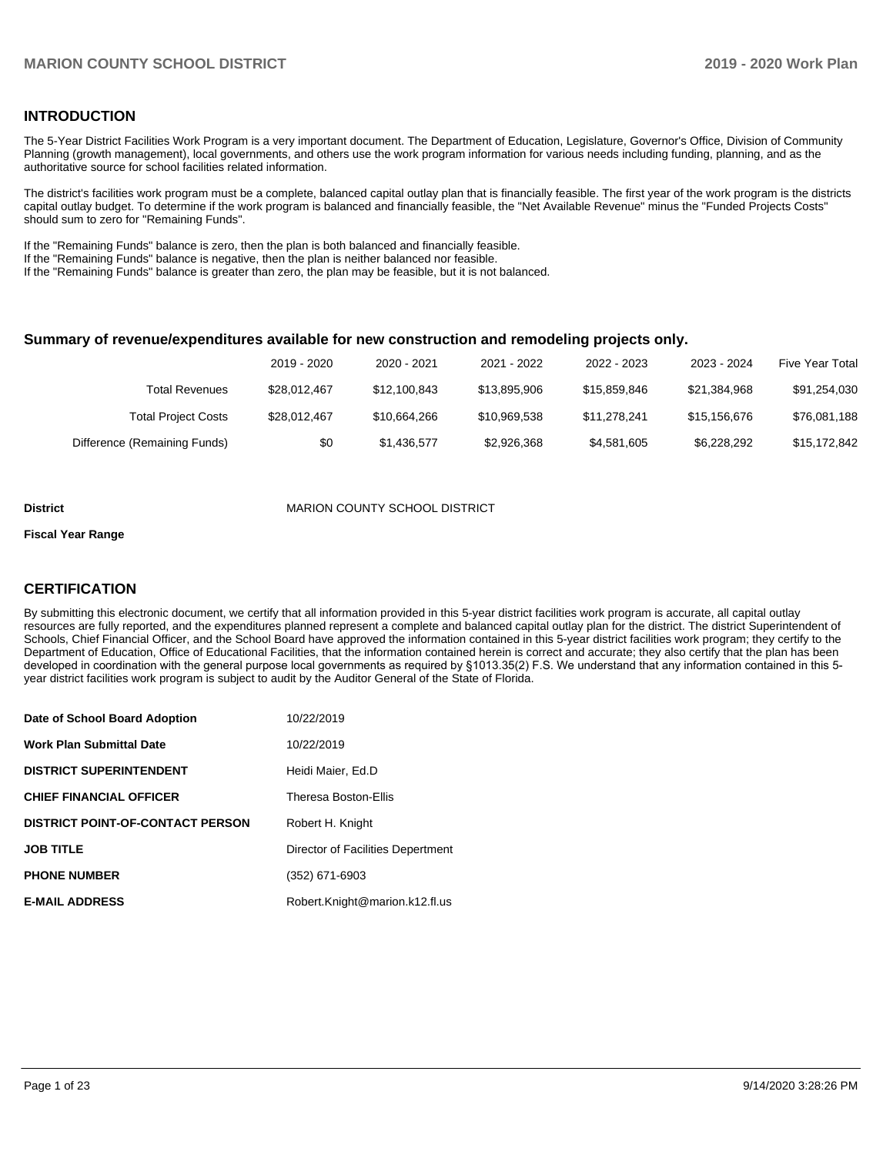#### **INTRODUCTION**

The 5-Year District Facilities Work Program is a very important document. The Department of Education, Legislature, Governor's Office, Division of Community Planning (growth management), local governments, and others use the work program information for various needs including funding, planning, and as the authoritative source for school facilities related information.

The district's facilities work program must be a complete, balanced capital outlay plan that is financially feasible. The first year of the work program is the districts capital outlay budget. To determine if the work program is balanced and financially feasible, the "Net Available Revenue" minus the "Funded Projects Costs" should sum to zero for "Remaining Funds".

If the "Remaining Funds" balance is zero, then the plan is both balanced and financially feasible.

If the "Remaining Funds" balance is negative, then the plan is neither balanced nor feasible.

If the "Remaining Funds" balance is greater than zero, the plan may be feasible, but it is not balanced.

#### **Summary of revenue/expenditures available for new construction and remodeling projects only.**

|                              | 2019 - 2020  | 2020 - 2021  | 2021 - 2022  | 2022 - 2023  | 2023 - 2024  | Five Year Total |
|------------------------------|--------------|--------------|--------------|--------------|--------------|-----------------|
| Total Revenues               | \$28.012.467 | \$12,100,843 | \$13.895.906 | \$15,859,846 | \$21.384.968 | \$91,254,030    |
| <b>Total Project Costs</b>   | \$28.012.467 | \$10,664,266 | \$10.969.538 | \$11.278.241 | \$15,156,676 | \$76,081,188    |
| Difference (Remaining Funds) | \$0          | \$1,436,577  | \$2,926,368  | \$4,581,605  | \$6,228,292  | \$15,172,842    |

#### **District MARION COUNTY SCHOOL DISTRICT**

#### **Fiscal Year Range**

### **CERTIFICATION**

By submitting this electronic document, we certify that all information provided in this 5-year district facilities work program is accurate, all capital outlay resources are fully reported, and the expenditures planned represent a complete and balanced capital outlay plan for the district. The district Superintendent of Schools, Chief Financial Officer, and the School Board have approved the information contained in this 5-year district facilities work program; they certify to the Department of Education, Office of Educational Facilities, that the information contained herein is correct and accurate; they also certify that the plan has been developed in coordination with the general purpose local governments as required by §1013.35(2) F.S. We understand that any information contained in this 5 year district facilities work program is subject to audit by the Auditor General of the State of Florida.

| Date of School Board Adoption    | 10/22/2019                        |
|----------------------------------|-----------------------------------|
| Work Plan Submittal Date         | 10/22/2019                        |
| DISTRICT SUPERINTENDENT          | Heidi Maier, Ed.D                 |
| <b>CHIEF FINANCIAL OFFICER</b>   | <b>Theresa Boston-Ellis</b>       |
| DISTRICT POINT-OF-CONTACT PERSON | Robert H. Knight                  |
| <b>JOB TITLE</b>                 | Director of Facilities Depertment |
| <b>PHONE NUMBER</b>              | (352) 671-6903                    |
| <b>E-MAIL ADDRESS</b>            | Robert.Knight@marion.k12.fl.us    |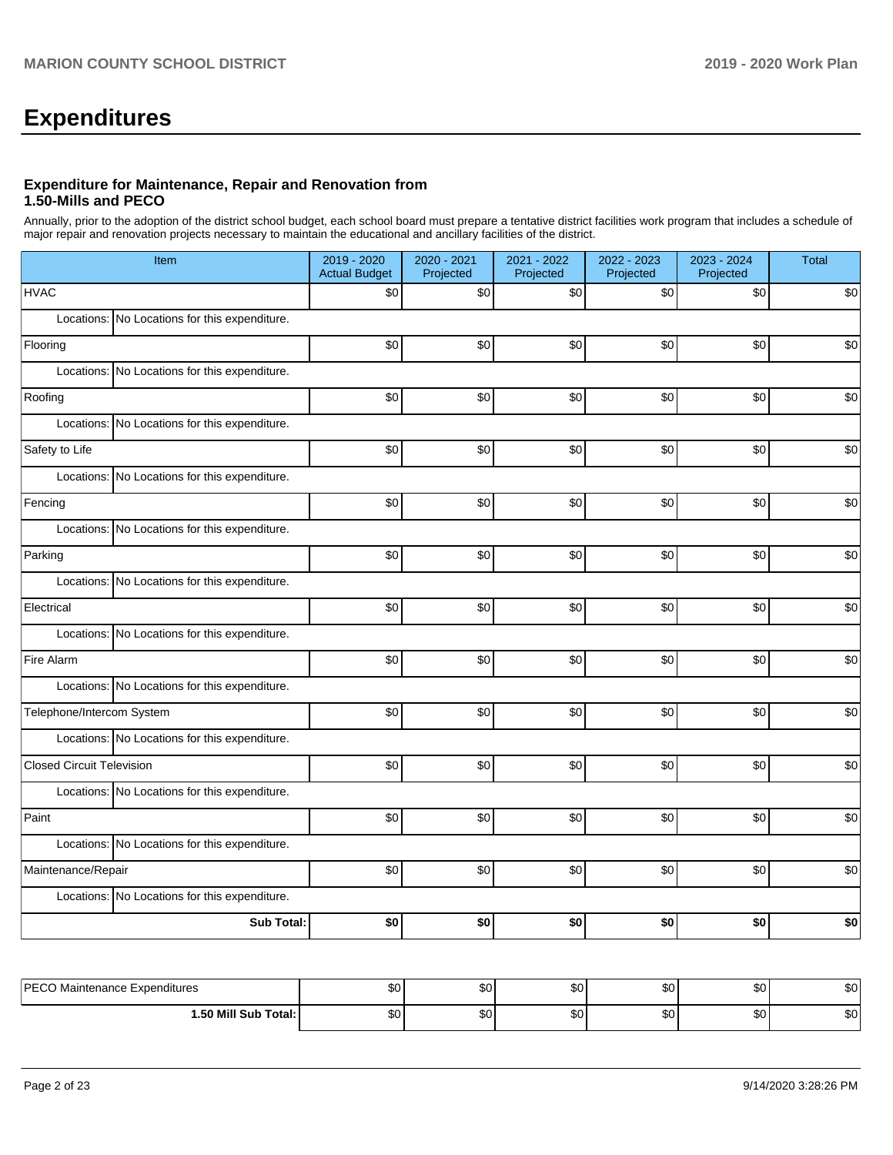# **Expenditures**

#### **Expenditure for Maintenance, Repair and Renovation from 1.50-Mills and PECO**

Annually, prior to the adoption of the district school budget, each school board must prepare a tentative district facilities work program that includes a schedule of major repair and renovation projects necessary to maintain the educational and ancillary facilities of the district.

| Item                                          | 2019 - 2020<br><b>Actual Budget</b> | 2020 - 2021<br>Projected | 2021 - 2022<br>Projected | 2022 - 2023<br>Projected | 2023 - 2024<br>Projected | Total |  |  |  |  |
|-----------------------------------------------|-------------------------------------|--------------------------|--------------------------|--------------------------|--------------------------|-------|--|--|--|--|
| <b>HVAC</b>                                   | \$0                                 | \$0                      | $$0$$                    | \$0                      | \$0                      | \$0   |  |  |  |  |
| Locations: No Locations for this expenditure. |                                     |                          |                          |                          |                          |       |  |  |  |  |
| Flooring                                      | \$0                                 | \$0                      | \$0                      | \$0                      | \$0                      | \$0   |  |  |  |  |
| Locations: No Locations for this expenditure. |                                     |                          |                          |                          |                          |       |  |  |  |  |
| Roofing                                       | \$0                                 | \$0                      | \$0                      | $$0$$                    | \$0                      | \$0   |  |  |  |  |
| Locations: No Locations for this expenditure. |                                     |                          |                          |                          |                          |       |  |  |  |  |
| Safety to Life                                | \$0                                 | \$0                      | \$0                      | \$0                      | \$0                      | \$0   |  |  |  |  |
| Locations: No Locations for this expenditure. |                                     |                          |                          |                          |                          |       |  |  |  |  |
| Fencing                                       | \$0                                 | \$0                      | \$0                      | \$0                      | \$0                      | \$0   |  |  |  |  |
| Locations: No Locations for this expenditure. |                                     |                          |                          |                          |                          |       |  |  |  |  |
| Parking                                       | \$0                                 | \$0                      | \$0                      | \$0                      | \$0                      | \$0   |  |  |  |  |
| Locations: No Locations for this expenditure. |                                     |                          |                          |                          |                          |       |  |  |  |  |
| Electrical                                    | \$0                                 | \$0                      | \$0                      | \$0                      | \$0                      | \$0   |  |  |  |  |
| Locations: No Locations for this expenditure. |                                     |                          |                          |                          |                          |       |  |  |  |  |
| Fire Alarm                                    | \$0                                 | \$0                      | $$0$$                    | \$0                      | \$0                      | \$0   |  |  |  |  |
| Locations: No Locations for this expenditure. |                                     |                          |                          |                          |                          |       |  |  |  |  |
| Telephone/Intercom System                     | \$0                                 | \$0                      | \$0                      | \$0                      | \$0                      | \$0   |  |  |  |  |
| Locations: No Locations for this expenditure. |                                     |                          |                          |                          |                          |       |  |  |  |  |
| <b>Closed Circuit Television</b>              | \$0                                 | \$0                      | \$0                      | \$0                      | \$0                      | \$0   |  |  |  |  |
| Locations: No Locations for this expenditure. |                                     |                          |                          |                          |                          |       |  |  |  |  |
| Paint                                         | \$0                                 | \$0                      | \$0                      | \$0                      | \$0                      | \$0   |  |  |  |  |
| Locations: No Locations for this expenditure. |                                     |                          |                          |                          |                          |       |  |  |  |  |
| Maintenance/Repair                            | \$0                                 | \$0                      | \$0                      | \$0                      | \$0                      | \$0   |  |  |  |  |
| Locations: No Locations for this expenditure. |                                     |                          |                          |                          |                          |       |  |  |  |  |
| Sub Total:                                    | \$0                                 | \$0                      | \$0                      | \$0                      | \$0                      | \$0   |  |  |  |  |
|                                               |                                     |                          |                          |                          |                          |       |  |  |  |  |
| PECO Maintenance Expenditures                 | \$0 <sub>l</sub>                    | \$0 <sub>1</sub>         | \$0                      | \$0                      | \$0                      | \$0   |  |  |  |  |

| <b>DECON</b><br>Maintenance Expenditures | ມພ | $\sim$<br>ນບ | ሶሳ<br>JU. | $\sim$<br>w | $\sim$<br>w | \$0 |
|------------------------------------------|----|--------------|-----------|-------------|-------------|-----|
| l.50 Mill Sub Total:                     | Ψ∪ | $\sim$<br>Ψ  | ሖ<br>JU.  | ພປ          | m o<br>υ∪   | \$0 |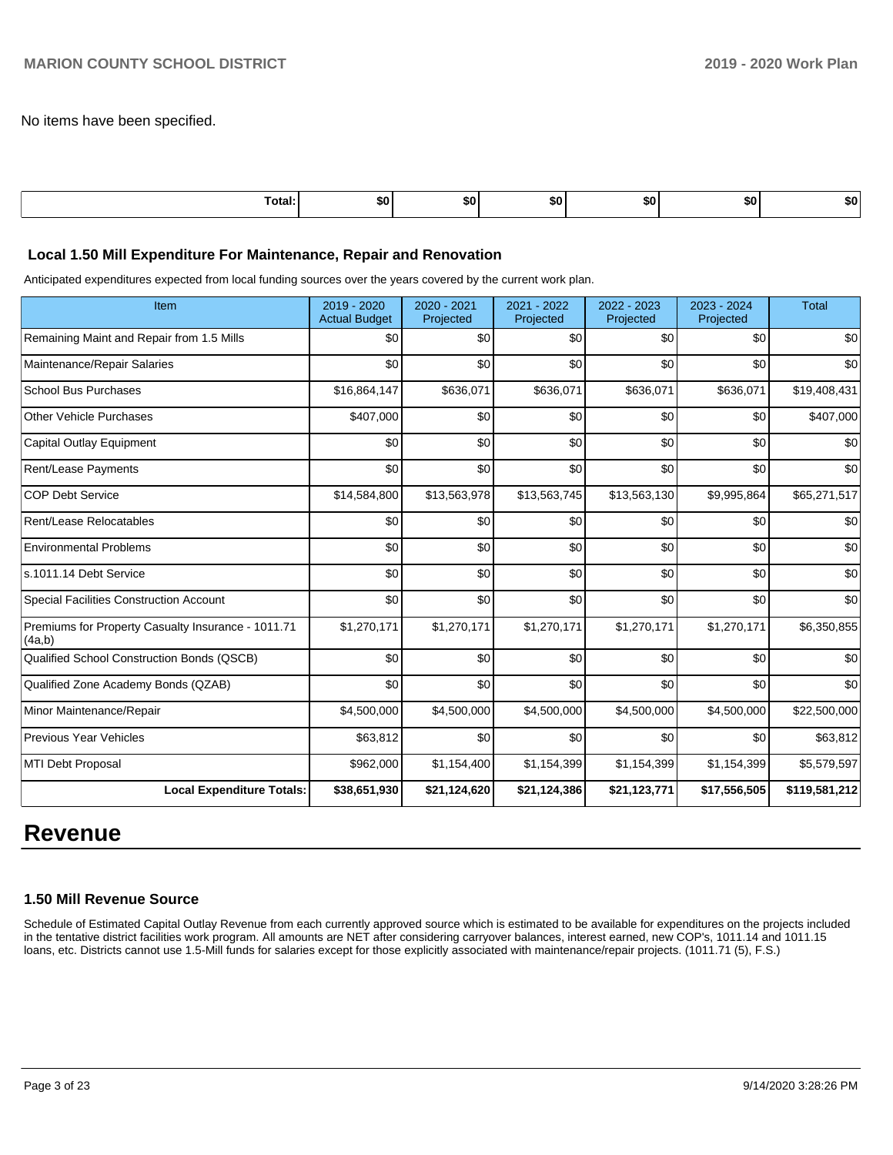No items have been specified.

| Total: | \$0 | SO I | . .<br>. | <b>SO</b> | <u>та</u><br>ъU | 50. |
|--------|-----|------|----------|-----------|-----------------|-----|
|        |     |      |          |           |                 |     |

#### **Local 1.50 Mill Expenditure For Maintenance, Repair and Renovation**

Anticipated expenditures expected from local funding sources over the years covered by the current work plan.

| Item                                                         | 2019 - 2020<br><b>Actual Budget</b> | 2020 - 2021<br>Projected | 2021 - 2022<br>Projected | 2022 - 2023<br>Projected | 2023 - 2024<br>Projected | <b>Total</b>  |
|--------------------------------------------------------------|-------------------------------------|--------------------------|--------------------------|--------------------------|--------------------------|---------------|
| Remaining Maint and Repair from 1.5 Mills                    | \$0                                 | \$0                      | \$0                      | \$0                      | \$0                      | \$0           |
| Maintenance/Repair Salaries                                  | \$0                                 | \$0                      | \$0                      | \$0                      | \$0                      | \$0           |
| <b>School Bus Purchases</b>                                  | \$16,864,147                        | \$636,071                | \$636,071                | \$636,071                | \$636,071                | \$19,408,431  |
| <b>Other Vehicle Purchases</b>                               | \$407,000                           | \$0                      | \$0                      | \$0                      | \$0                      | \$407,000     |
| <b>Capital Outlay Equipment</b>                              | \$0                                 | \$0                      | \$0                      | \$0                      | \$0                      | \$0           |
| Rent/Lease Payments                                          | \$0                                 | \$0                      | \$0                      | \$0                      | \$0                      | \$0           |
| <b>COP Debt Service</b>                                      | \$14,584,800                        | \$13,563,978             | \$13,563,745             | \$13,563,130             | \$9,995,864              | \$65,271,517  |
| Rent/Lease Relocatables                                      | \$0                                 | \$0                      | \$0                      | \$0                      | \$0                      | \$0           |
| <b>Environmental Problems</b>                                | \$0                                 | \$0                      | \$0                      | \$0                      | \$0                      | \$0           |
| s.1011.14 Debt Service                                       | \$0                                 | \$0                      | \$0                      | \$0                      | \$0                      | \$0           |
| <b>Special Facilities Construction Account</b>               | \$0                                 | \$0                      | \$0                      | \$0                      | \$0                      | \$0           |
| Premiums for Property Casualty Insurance - 1011.71<br>(4a,b) | \$1,270,171                         | \$1,270,171              | \$1,270,171              | \$1,270,171              | \$1,270,171              | \$6,350,855   |
| Qualified School Construction Bonds (QSCB)                   | \$0                                 | \$0                      | \$0                      | \$0                      | \$0                      | \$0           |
| Qualified Zone Academy Bonds (QZAB)                          | \$0                                 | \$0                      | \$0                      | \$0                      | \$0                      | \$0           |
| Minor Maintenance/Repair                                     | \$4,500,000                         | \$4,500,000              | \$4,500,000              | \$4,500,000              | \$4,500,000              | \$22,500,000  |
| <b>Previous Year Vehicles</b>                                | \$63,812                            | \$0                      | \$0                      | \$0                      | \$0                      | \$63,812      |
| MTI Debt Proposal                                            | \$962,000                           | \$1,154,400              | \$1,154,399              | \$1,154,399              | \$1,154,399              | \$5,579,597   |
| <b>Local Expenditure Totals:</b>                             | \$38,651,930                        | \$21,124,620             | \$21,124,386             | \$21,123,771             | \$17,556,505             | \$119,581,212 |

# **Revenue**

#### **1.50 Mill Revenue Source**

Schedule of Estimated Capital Outlay Revenue from each currently approved source which is estimated to be available for expenditures on the projects included in the tentative district facilities work program. All amounts are NET after considering carryover balances, interest earned, new COP's, 1011.14 and 1011.15 loans, etc. Districts cannot use 1.5-Mill funds for salaries except for those explicitly associated with maintenance/repair projects. (1011.71 (5), F.S.)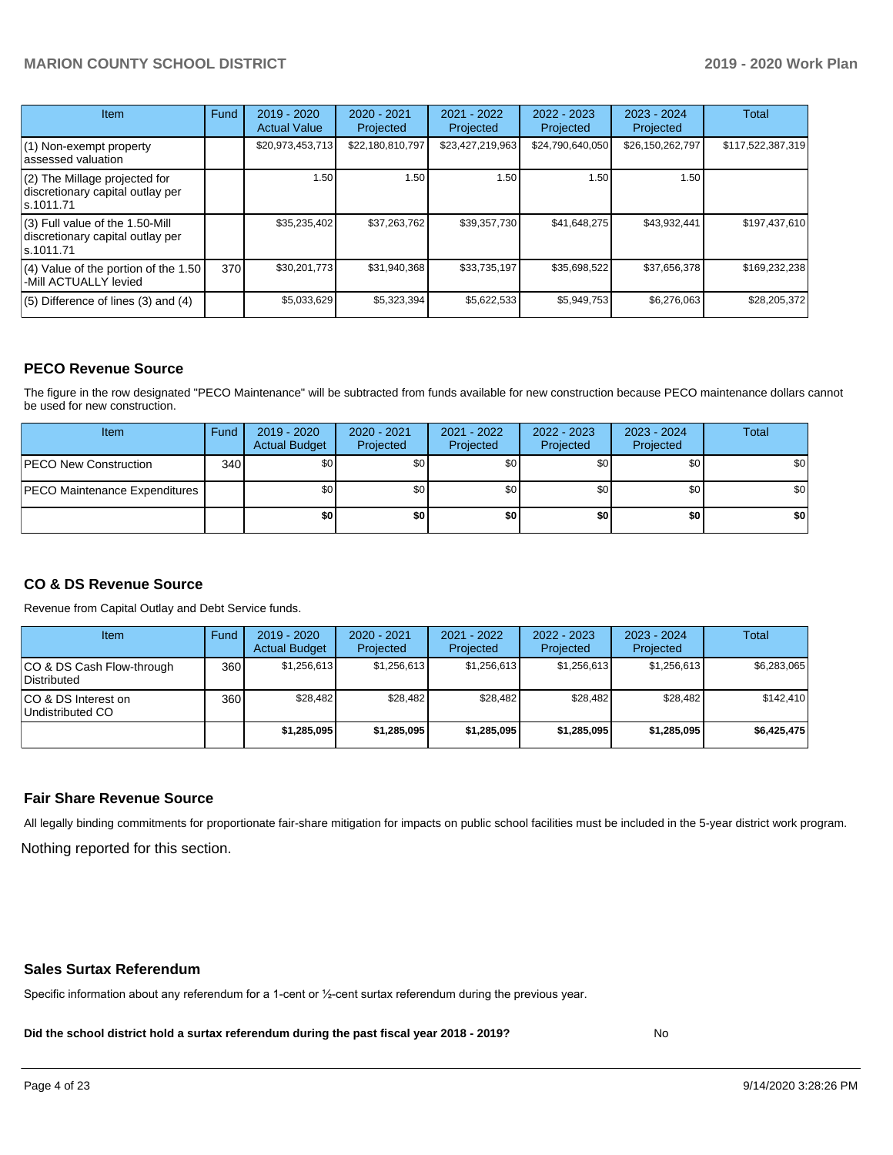| <b>Item</b>                                                                         | Fund | $2019 - 2020$<br><b>Actual Value</b> | $2020 - 2021$<br>Projected | 2021 - 2022<br>Projected | $2022 - 2023$<br>Projected | $2023 - 2024$<br>Projected | Total             |
|-------------------------------------------------------------------------------------|------|--------------------------------------|----------------------------|--------------------------|----------------------------|----------------------------|-------------------|
| (1) Non-exempt property<br>lassessed valuation                                      |      | \$20,973,453,713                     | \$22,180,810,797           | \$23,427,219,963         | \$24,790,640,050           | \$26,150,262,797           | \$117,522,387,319 |
| (2) The Millage projected for<br>discretionary capital outlay per<br>ls.1011.71     |      | 1.50                                 | 1.50 <sub>1</sub>          | 1.50                     | 1.50                       | 1.50                       |                   |
| $(3)$ Full value of the 1.50-Mill<br>discretionary capital outlay per<br>ls.1011.71 |      | \$35,235,402                         | \$37,263,762               | \$39,357,730             | \$41,648,275               | \$43,932,441               | \$197,437,610     |
| $(4)$ Value of the portion of the 1.50<br>-Mill ACTUALLY levied                     | 370  | \$30,201,773                         | \$31,940,368               | \$33,735,197             | \$35,698,522               | \$37,656,378               | \$169,232,238     |
| $(5)$ Difference of lines $(3)$ and $(4)$                                           |      | \$5,033,629                          | \$5,323,394                | \$5,622,533              | \$5,949,753                | \$6,276,063                | \$28,205,372      |

### **PECO Revenue Source**

The figure in the row designated "PECO Maintenance" will be subtracted from funds available for new construction because PECO maintenance dollars cannot be used for new construction.

| Item                                 | Fund | 2019 - 2020<br><b>Actual Budget</b> | 2020 - 2021<br>Projected | 2021 - 2022<br>Projected | $2022 - 2023$<br>Projected | 2023 - 2024<br>Projected | Total            |
|--------------------------------------|------|-------------------------------------|--------------------------|--------------------------|----------------------------|--------------------------|------------------|
| <b>PECO New Construction</b>         | 340  | \$0                                 | \$0 <sub>1</sub>         | \$0                      | \$0 <sub>1</sub>           | \$0 <sub>1</sub>         | \$0 <sub>1</sub> |
| <b>PECO Maintenance Expenditures</b> |      | ا 30                                | \$٥Ι                     | \$0                      | \$0 <sub>1</sub>           | \$0                      | \$0              |
|                                      |      | \$0                                 | \$0                      | \$0                      | \$0                        | \$0                      | \$0              |

# **CO & DS Revenue Source**

Revenue from Capital Outlay and Debt Service funds.

| Item                                      | Fund  | $2019 - 2020$<br><b>Actual Budget</b> | 2020 - 2021<br>Projected | 2021 - 2022<br>Projected | $2022 - 2023$<br>Projected | $2023 - 2024$<br>Projected | <b>Total</b> |
|-------------------------------------------|-------|---------------------------------------|--------------------------|--------------------------|----------------------------|----------------------------|--------------|
| ICO & DS Cash Flow-through<br>Distributed | 360 l | \$1.256.613                           | \$1,256,613              | \$1.256.613              | \$1.256.613                | \$1,256,613                | \$6,283,065  |
| ICO & DS Interest on<br>Undistributed CO  | 360   | \$28.482                              | \$28.482                 | \$28.482                 | \$28.482                   | \$28.482                   | \$142.410    |
|                                           |       | \$1,285,095                           | \$1.285.095              | \$1,285,095              | \$1,285,095                | \$1,285,095                | \$6,425,475  |

#### **Fair Share Revenue Source**

Nothing reported for this section. All legally binding commitments for proportionate fair-share mitigation for impacts on public school facilities must be included in the 5-year district work program.

#### **Sales Surtax Referendum**

Specific information about any referendum for a 1-cent or ½-cent surtax referendum during the previous year.

**Did the school district hold a surtax referendum during the past fiscal year 2018 - 2019?**

No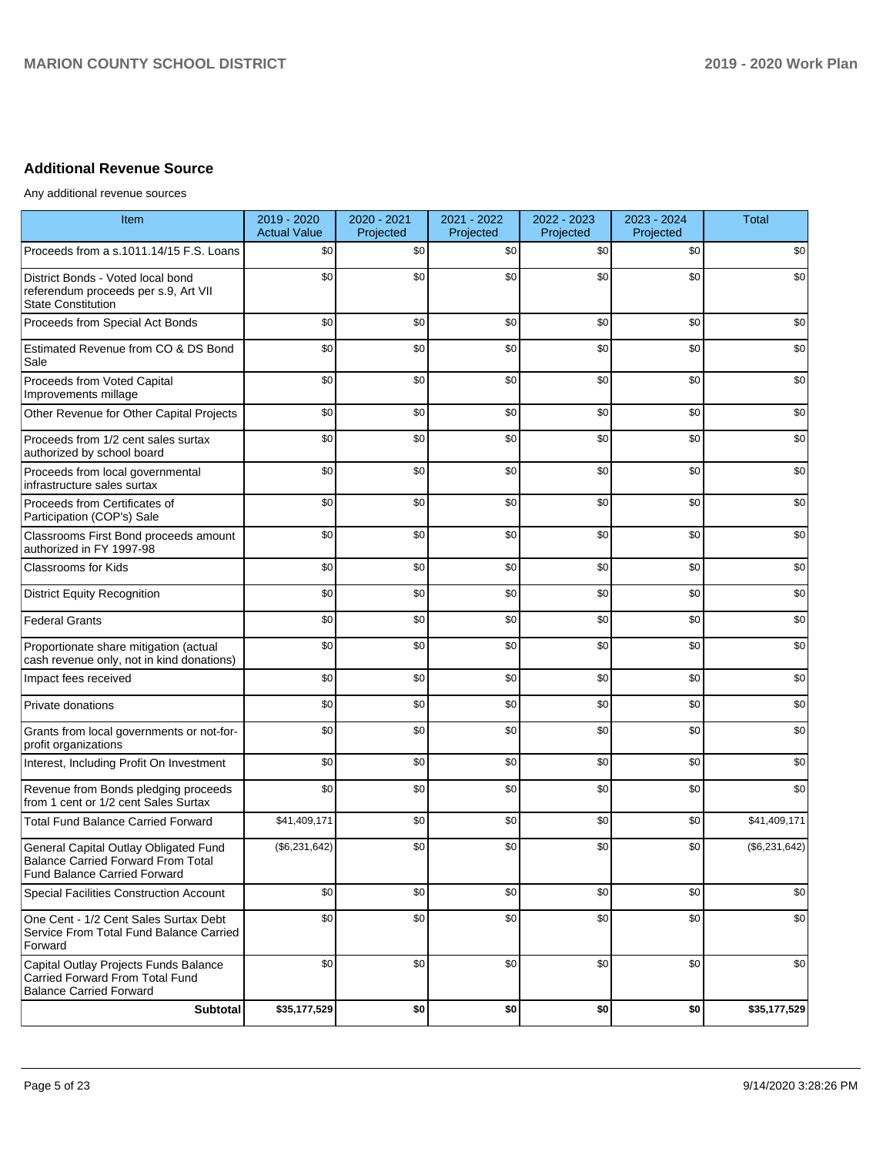# **Additional Revenue Source**

Any additional revenue sources

| Item                                                                                                                      | 2019 - 2020<br><b>Actual Value</b> | 2020 - 2021<br>Projected | 2021 - 2022<br>Projected | 2022 - 2023<br>Projected | 2023 - 2024<br>Projected | <b>Total</b>  |
|---------------------------------------------------------------------------------------------------------------------------|------------------------------------|--------------------------|--------------------------|--------------------------|--------------------------|---------------|
| Proceeds from a s.1011.14/15 F.S. Loans                                                                                   | \$0                                | \$0                      | \$0                      | \$0                      | \$0                      | \$0           |
| District Bonds - Voted local bond<br>referendum proceeds per s.9, Art VII<br><b>State Constitution</b>                    | \$0                                | \$0                      | \$0                      | \$0                      | \$0                      | \$0           |
| Proceeds from Special Act Bonds                                                                                           | \$0                                | \$0                      | \$0                      | \$0                      | \$0                      | \$0           |
| Estimated Revenue from CO & DS Bond<br>Sale                                                                               | \$0                                | \$0                      | \$0                      | \$0                      | \$0                      | \$0           |
| Proceeds from Voted Capital<br>Improvements millage                                                                       | \$0                                | \$0                      | \$0                      | \$0                      | \$0                      | \$0           |
| Other Revenue for Other Capital Projects                                                                                  | \$0                                | \$0                      | \$0                      | \$0                      | \$0                      | \$0           |
| Proceeds from 1/2 cent sales surtax<br>authorized by school board                                                         | \$0                                | \$0                      | \$0                      | \$0                      | \$0                      | \$0           |
| Proceeds from local governmental<br>infrastructure sales surtax                                                           | \$0                                | \$0                      | \$0                      | \$0                      | \$0                      | \$0           |
| Proceeds from Certificates of<br>Participation (COP's) Sale                                                               | \$0                                | \$0                      | \$0                      | \$0                      | \$0                      | \$0           |
| Classrooms First Bond proceeds amount<br>authorized in FY 1997-98                                                         | \$0                                | \$0                      | \$0                      | \$0                      | \$0                      | \$0           |
| <b>Classrooms for Kids</b>                                                                                                | \$0                                | \$0                      | \$0                      | \$0                      | \$0                      | \$0           |
| <b>District Equity Recognition</b>                                                                                        | \$0                                | \$0                      | \$0                      | \$0                      | \$0                      | \$0           |
| <b>Federal Grants</b>                                                                                                     | \$0                                | \$0                      | \$0                      | \$0                      | \$0                      | \$0           |
| Proportionate share mitigation (actual<br>cash revenue only, not in kind donations)                                       | \$0                                | \$0                      | \$0                      | \$0                      | \$0                      | \$0           |
| Impact fees received                                                                                                      | \$0                                | \$0                      | \$0                      | \$0                      | \$0                      | \$0           |
| Private donations                                                                                                         | \$0                                | \$0                      | \$0                      | \$0                      | \$0                      | \$0           |
| Grants from local governments or not-for-<br>profit organizations                                                         | \$0                                | \$0                      | \$0                      | \$0                      | \$0                      | \$0           |
| Interest, Including Profit On Investment                                                                                  | \$0                                | \$0                      | \$0                      | \$0                      | \$0                      | \$0           |
| Revenue from Bonds pledging proceeds<br>from 1 cent or 1/2 cent Sales Surtax                                              | \$0                                | \$0                      | \$0                      | \$0                      | \$0                      | \$0           |
| <b>Total Fund Balance Carried Forward</b>                                                                                 | \$41,409,171                       | \$0                      | \$0                      | \$0                      | \$0                      | \$41,409,171  |
| General Capital Outlay Obligated Fund<br><b>Balance Carried Forward From Total</b><br><b>Fund Balance Carried Forward</b> | (\$6,231,642)                      | \$0                      | \$0                      | \$0                      | \$0                      | (\$6,231,642) |
| Special Facilities Construction Account                                                                                   | \$0                                | \$0                      | \$0                      | \$0                      | \$0                      | \$0           |
| One Cent - 1/2 Cent Sales Surtax Debt<br>Service From Total Fund Balance Carried<br>Forward                               | \$0                                | \$0                      | \$0                      | \$0                      | \$0                      | \$0           |
| Capital Outlay Projects Funds Balance<br>Carried Forward From Total Fund<br><b>Balance Carried Forward</b>                | \$0                                | \$0                      | \$0                      | \$0                      | \$0                      | \$0           |
| <b>Subtotal</b>                                                                                                           | \$35,177,529                       | \$0                      | \$0                      | \$0                      | \$0                      | \$35,177,529  |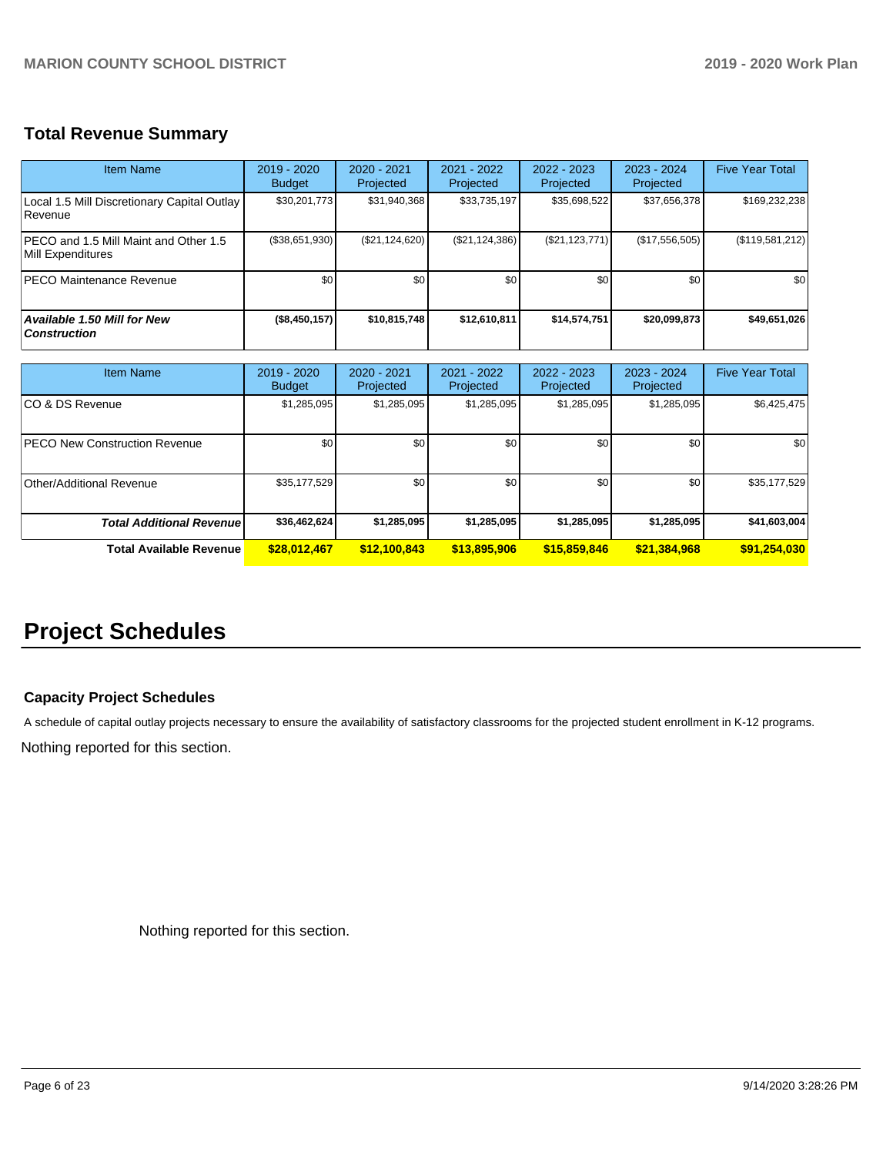# **Total Revenue Summary**

| Item Name                                                     | 2019 - 2020<br><b>Budget</b> | $2020 - 2021$<br>Projected | 2021 - 2022<br>Projected | $2022 - 2023$<br>Projected | $2023 - 2024$<br>Projected | <b>Five Year Total</b> |
|---------------------------------------------------------------|------------------------------|----------------------------|--------------------------|----------------------------|----------------------------|------------------------|
| Local 1.5 Mill Discretionary Capital Outlay<br><b>Revenue</b> | \$30,201,773                 | \$31,940,368               | \$33,735,197             | \$35,698,522               | \$37,656,378               | \$169,232,238          |
| PECO and 1.5 Mill Maint and Other 1.5<br>Mill Expenditures    | (\$38,651,930)               | (\$21,124,620)             | (\$21,124,386)           | (S21, 123, 771)            | (\$17,556,505)             | (\$119,581,212)        |
| <b>PECO Maintenance Revenue</b>                               | \$0                          | \$0 <sub>1</sub>           | \$0                      | \$0                        | \$0                        | \$0                    |
| <b>Available 1.50 Mill for New</b><br><b>Construction</b>     | (\$8,450,157)                | \$10,815,748               | \$12,610,811             | \$14,574,751               | \$20,099,873               | \$49,651,026           |

| <b>Item Name</b>                      | 2019 - 2020<br><b>Budget</b> | $2020 - 2021$<br>Projected | 2021 - 2022<br>Projected | $2022 - 2023$<br>Projected | $2023 - 2024$<br>Projected | <b>Five Year Total</b> |
|---------------------------------------|------------------------------|----------------------------|--------------------------|----------------------------|----------------------------|------------------------|
| ICO & DS Revenue                      | \$1,285,095                  | \$1,285,095                | \$1,285,095              | \$1,285,095                | \$1,285,095                | \$6,425,475            |
| <b>IPECO New Construction Revenue</b> | \$0 <sub>1</sub>             | \$0 <sub>1</sub>           | \$0                      | \$0                        | \$0                        | \$0                    |
| Other/Additional Revenue              | \$35,177,529                 | \$0 <sub>1</sub>           | \$0                      | \$0                        | \$0                        | \$35,177,529           |
| <b>Total Additional Revenuel</b>      | \$36,462,624                 | \$1,285,095                | \$1,285,095              | \$1,285,095                | \$1,285,095                | \$41,603,004           |
| Total Available Revenue               | \$28,012,467                 | \$12,100,843               | \$13,895,906             | \$15,859,846               | \$21,384,968               | \$91,254,030           |

# **Project Schedules**

# **Capacity Project Schedules**

A schedule of capital outlay projects necessary to ensure the availability of satisfactory classrooms for the projected student enrollment in K-12 programs.

Nothing reported for this section.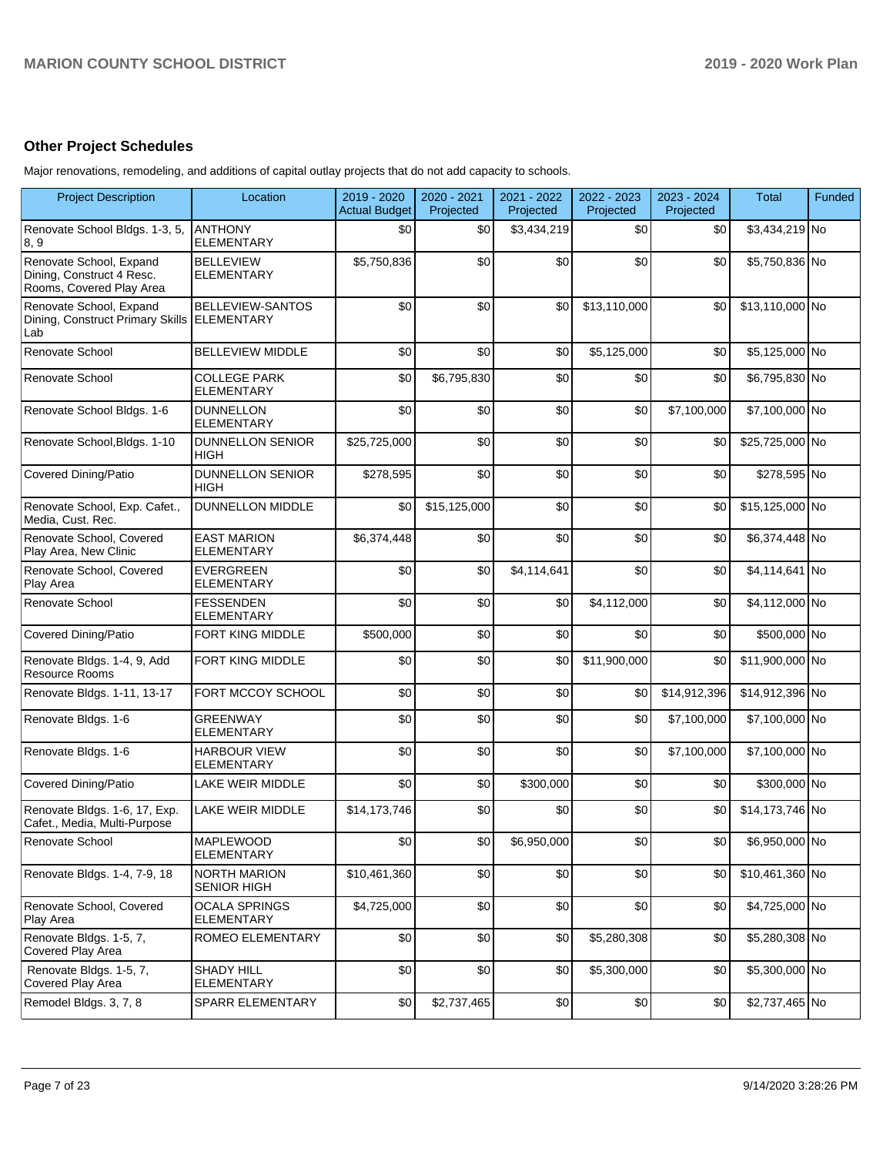# **Other Project Schedules**

Major renovations, remodeling, and additions of capital outlay projects that do not add capacity to schools.

| <b>Project Description</b>                                                       | Location                                  | 2019 - 2020<br><b>Actual Budget</b> | 2020 - 2021<br>Projected | 2021 - 2022<br>Projected | 2022 - 2023<br>Projected | 2023 - 2024<br>Projected | Total           | Funded |
|----------------------------------------------------------------------------------|-------------------------------------------|-------------------------------------|--------------------------|--------------------------|--------------------------|--------------------------|-----------------|--------|
| Renovate School Bldgs. 1-3, 5,<br>8, 9                                           | <b>ANTHONY</b><br><b>ELEMENTARY</b>       | \$0                                 | \$0                      | \$3,434,219              | \$0                      | \$0                      | \$3,434,219 No  |        |
| Renovate School, Expand<br>Dining, Construct 4 Resc.<br>Rooms, Covered Play Area | <b>BELLEVIEW</b><br><b>ELEMENTARY</b>     | \$5,750,836                         | \$0                      | \$0                      | \$0                      | \$0                      | \$5,750,836 No  |        |
| Renovate School, Expand<br>Dining, Construct Primary Skills ELEMENTARY<br>Lab    | BELLEVIEW-SANTOS                          | \$0                                 | \$0                      | \$0                      | \$13,110,000             | \$0                      | \$13,110,000 No |        |
| Renovate School                                                                  | <b>BELLEVIEW MIDDLE</b>                   | \$0                                 | \$0                      | \$0                      | \$5,125,000              | \$0                      | \$5,125,000 No  |        |
| Renovate School                                                                  | <b>COLLEGE PARK</b><br><b>ELEMENTARY</b>  | \$0                                 | \$6,795,830              | \$0                      | \$0                      | \$0                      | \$6,795,830 No  |        |
| Renovate School Bldgs. 1-6                                                       | <b>DUNNELLON</b><br><b>ELEMENTARY</b>     | \$0                                 | \$0                      | \$0                      | \$0                      | \$7,100,000              | \$7,100,000 No  |        |
| Renovate School, Bldgs. 1-10                                                     | <b>DUNNELLON SENIOR</b><br><b>HIGH</b>    | \$25,725,000                        | \$0                      | \$0                      | \$0                      | \$0                      | \$25,725,000 No |        |
| <b>Covered Dining/Patio</b>                                                      | <b>DUNNELLON SENIOR</b><br><b>HIGH</b>    | \$278,595                           | \$0                      | \$0                      | \$0                      | \$0                      | \$278,595 No    |        |
| Renovate School, Exp. Cafet.,<br>Media, Cust. Rec.                               | <b>DUNNELLON MIDDLE</b>                   | \$0                                 | \$15,125,000             | \$0                      | \$0                      | \$0                      | \$15,125,000 No |        |
| Renovate School, Covered<br>Play Area, New Clinic                                | <b>EAST MARION</b><br><b>ELEMENTARY</b>   | \$6,374,448                         | \$0                      | \$0                      | \$0                      | \$0                      | \$6,374,448 No  |        |
| Renovate School, Covered<br>Play Area                                            | <b>EVERGREEN</b><br><b>ELEMENTARY</b>     | \$0                                 | \$0                      | \$4,114,641              | \$0                      | \$0                      | \$4,114,641 No  |        |
| Renovate School                                                                  | <b>FESSENDEN</b><br><b>ELEMENTARY</b>     | \$0                                 | \$0                      | \$0                      | \$4,112,000              | \$0                      | \$4,112,000 No  |        |
| <b>Covered Dining/Patio</b>                                                      | FORT KING MIDDLE                          | \$500,000                           | \$0                      | \$0                      | \$0                      | \$0                      | \$500,000 No    |        |
| Renovate Bldgs. 1-4, 9, Add<br><b>Resource Rooms</b>                             | FORT KING MIDDLE                          | \$0                                 | \$0                      | \$0                      | \$11,900,000             | \$0                      | \$11,900,000 No |        |
| Renovate Bldgs. 1-11, 13-17                                                      | FORT MCCOY SCHOOL                         | \$0                                 | \$0                      | \$0                      | \$0                      | \$14,912,396             | \$14,912,396 No |        |
| Renovate Bldgs. 1-6                                                              | <b>GREENWAY</b><br><b>ELEMENTARY</b>      | \$0                                 | \$0                      | \$0                      | \$0                      | \$7,100,000              | \$7,100,000 No  |        |
| Renovate Bldgs. 1-6                                                              | <b>HARBOUR VIEW</b><br><b>ELEMENTARY</b>  | \$0                                 | \$0                      | \$0                      | \$0                      | \$7,100,000              | \$7,100,000 No  |        |
| <b>Covered Dining/Patio</b>                                                      | LAKE WEIR MIDDLE                          | \$0                                 | \$0                      | \$300,000                | \$0                      | \$0                      | \$300,000 No    |        |
| Renovate Bldgs. 1-6, 17, Exp.<br>Cafet., Media, Multi-Purpose                    | LAKE WEIR MIDDLE                          | \$14,173,746                        | \$0                      | \$0                      | \$0                      | \$0                      | \$14,173,746 No |        |
| Renovate School                                                                  | <b>MAPLEWOOD</b><br><b>ELEMENTARY</b>     | \$0                                 | \$0                      | \$6,950,000              | $$0\,$                   | \$0                      | \$6,950,000 No  |        |
| Renovate Bldgs. 1-4, 7-9, 18                                                     | <b>NORTH MARION</b><br><b>SENIOR HIGH</b> | \$10,461,360                        | \$0                      | \$0                      | \$0                      | \$0                      | \$10,461,360 No |        |
| Renovate School, Covered<br>Play Area                                            | <b>OCALA SPRINGS</b><br><b>ELEMENTARY</b> | \$4,725,000                         | \$0                      | \$0                      | \$0                      | \$0                      | \$4,725,000 No  |        |
| Renovate Bldgs. 1-5, 7,<br>Covered Play Area                                     | <b>ROMEO ELEMENTARY</b>                   | \$0                                 | \$0                      | \$0                      | \$5,280,308              | \$0                      | \$5,280,308 No  |        |
| Renovate Bldgs. 1-5, 7,<br>Covered Play Area                                     | <b>SHADY HILL</b><br><b>ELEMENTARY</b>    | \$0                                 | \$0                      | \$0                      | \$5,300,000              | \$0                      | \$5,300,000 No  |        |
| Remodel Bldgs. 3, 7, 8                                                           | SPARR ELEMENTARY                          | \$0                                 | \$2,737,465              | \$0                      | \$0                      | \$0                      | \$2,737,465 No  |        |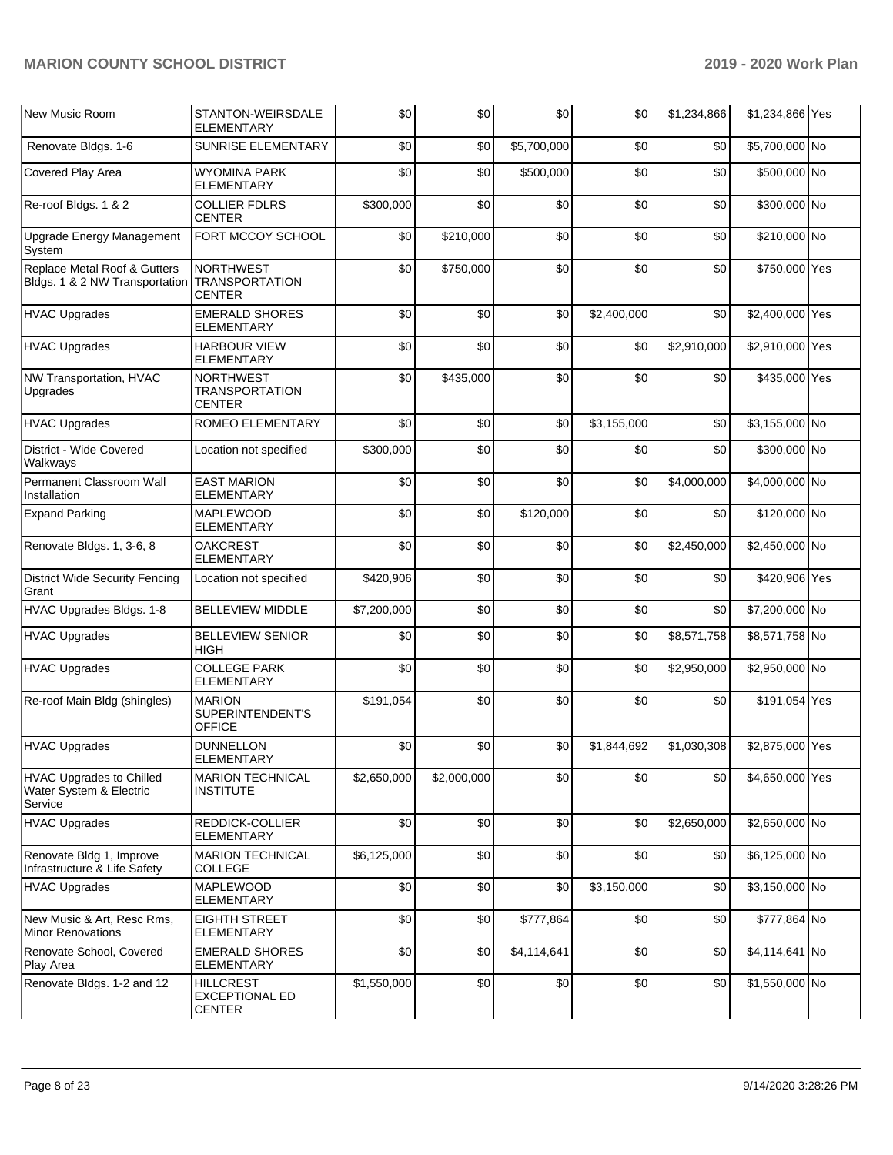| New Music Room                                                        | STANTON-WEIRSDALE<br><b>ELEMENTARY</b>                     | \$0         | \$0         | \$0         | \$0         | \$1,234,866 | \$1,234,866 Yes |  |
|-----------------------------------------------------------------------|------------------------------------------------------------|-------------|-------------|-------------|-------------|-------------|-----------------|--|
| Renovate Bldgs. 1-6                                                   | SUNRISE ELEMENTARY                                         | \$0         | \$0         | \$5,700,000 | \$0         | \$0         | \$5,700,000 No  |  |
| Covered Play Area                                                     | <b>WYOMINA PARK</b><br><b>ELEMENTARY</b>                   | \$0         | \$0         | \$500,000   | \$0         | \$0         | \$500,000 No    |  |
| Re-roof Bldgs. 1 & 2                                                  | <b>COLLIER FDLRS</b><br><b>CENTER</b>                      | \$300,000   | \$0         | \$0         | \$0         | \$0         | \$300,000 No    |  |
| Upgrade Energy Management<br>System                                   | FORT MCCOY SCHOOL                                          | \$0         | \$210,000   | \$0         | \$0         | \$0         | \$210,000 No    |  |
| Replace Metal Roof & Gutters<br>Bldgs. 1 & 2 NW Transportation        | <b>NORTHWEST</b><br><b>TRANSPORTATION</b><br><b>CENTER</b> | \$0         | \$750,000   | \$0         | \$0         | \$0         | \$750,000 Yes   |  |
| <b>HVAC Upgrades</b>                                                  | <b>EMERALD SHORES</b><br>ELEMENTARY                        | \$0         | \$0         | \$0         | \$2,400,000 | \$0         | \$2,400,000 Yes |  |
| <b>HVAC Upgrades</b>                                                  | <b>HARBOUR VIEW</b><br><b>ELEMENTARY</b>                   | \$0         | \$0         | \$0         | \$0         | \$2,910,000 | \$2,910,000 Yes |  |
| NW Transportation, HVAC<br>Upgrades                                   | <b>NORTHWEST</b><br><b>TRANSPORTATION</b><br><b>CENTER</b> | \$0         | \$435,000   | \$0         | \$0         | \$0         | \$435,000 Yes   |  |
| <b>HVAC Upgrades</b>                                                  | <b>ROMEO ELEMENTARY</b>                                    | \$0         | \$0         | \$0         | \$3,155,000 | \$0         | \$3,155,000 No  |  |
| District - Wide Covered<br>Walkways                                   | Location not specified                                     | \$300,000   | \$0         | \$0         | \$0         | \$0         | \$300,000 No    |  |
| Permanent Classroom Wall<br>Installation                              | <b>EAST MARION</b><br>ELEMENTARY                           | \$0         | \$0         | \$0         | \$0         | \$4,000,000 | \$4,000,000 No  |  |
| <b>Expand Parking</b>                                                 | <b>MAPLEWOOD</b><br><b>ELEMENTARY</b>                      | \$0         | \$0         | \$120,000   | \$0         | \$0         | \$120,000 No    |  |
| Renovate Bldgs. 1, 3-6, 8                                             | <b>OAKCREST</b><br><b>ELEMENTARY</b>                       | \$0         | \$0         | \$0         | \$0         | \$2,450,000 | \$2,450,000 No  |  |
| <b>District Wide Security Fencing</b><br>Grant                        | Location not specified                                     | \$420,906   | \$0         | \$0         | \$0         | \$0         | \$420,906 Yes   |  |
| HVAC Upgrades Bldgs. 1-8                                              | <b>BELLEVIEW MIDDLE</b>                                    | \$7,200,000 | \$0         | \$0         | \$0         | \$0         | \$7,200,000 No  |  |
| <b>HVAC Upgrades</b>                                                  | <b>BELLEVIEW SENIOR</b><br>HIGH                            | \$0         | \$0         | \$0         | \$0         | \$8,571,758 | \$8,571,758 No  |  |
| <b>HVAC Upgrades</b>                                                  | <b>COLLEGE PARK</b><br><b>ELEMENTARY</b>                   | \$0         | \$0         | \$0         | \$0         | \$2,950,000 | \$2,950,000 No  |  |
| Re-roof Main Bldg (shingles)                                          | <b>MARION</b><br>SUPERINTENDENT'S<br><b>OFFICE</b>         | \$191,054   | \$0         | \$0         | \$0         | \$0         | \$191,054 Yes   |  |
| <b>HVAC Upgrades</b>                                                  | <b>DUNNELLON</b><br><b>ELEMENTARY</b>                      | \$0         | \$0         | \$0         | \$1,844,692 | \$1,030,308 | \$2,875,000 Yes |  |
| <b>HVAC Upgrades to Chilled</b><br>Water System & Electric<br>Service | <b>MARION TECHNICAL</b><br><b>INSTITUTE</b>                | \$2,650,000 | \$2,000,000 | \$0         | \$0         | \$0         | \$4,650,000 Yes |  |
| <b>HVAC Upgrades</b>                                                  | REDDICK-COLLIER<br><b>ELEMENTARY</b>                       | \$0         | \$0         | \$0         | \$0         | \$2,650,000 | \$2,650,000 No  |  |
| Renovate Bldg 1, Improve<br>Infrastructure & Life Safety              | <b>MARION TECHNICAL</b><br><b>COLLEGE</b>                  | \$6,125,000 | \$0         | \$0         | \$0         | \$0         | \$6,125,000 No  |  |
| <b>HVAC Upgrades</b>                                                  | <b>MAPLEWOOD</b><br>ELEMENTARY                             | \$0         | \$0         | \$0         | \$3,150,000 | \$0         | \$3,150,000 No  |  |
| New Music & Art, Resc Rms,<br><b>Minor Renovations</b>                | <b>EIGHTH STREET</b><br><b>ELEMENTARY</b>                  | \$0         | \$0         | \$777,864   | \$0         | \$0         | \$777,864 No    |  |
| Renovate School, Covered<br>Play Area                                 | <b>EMERALD SHORES</b><br><b>ELEMENTARY</b>                 | \$0         | \$0         | \$4,114,641 | \$0         | \$0         | \$4,114,641 No  |  |
| Renovate Bldgs. 1-2 and 12                                            | HILLCREST<br>EXCEPTIONAL ED<br><b>CENTER</b>               | \$1,550,000 | \$0         | \$0         | \$0         | \$0         | \$1,550,000 No  |  |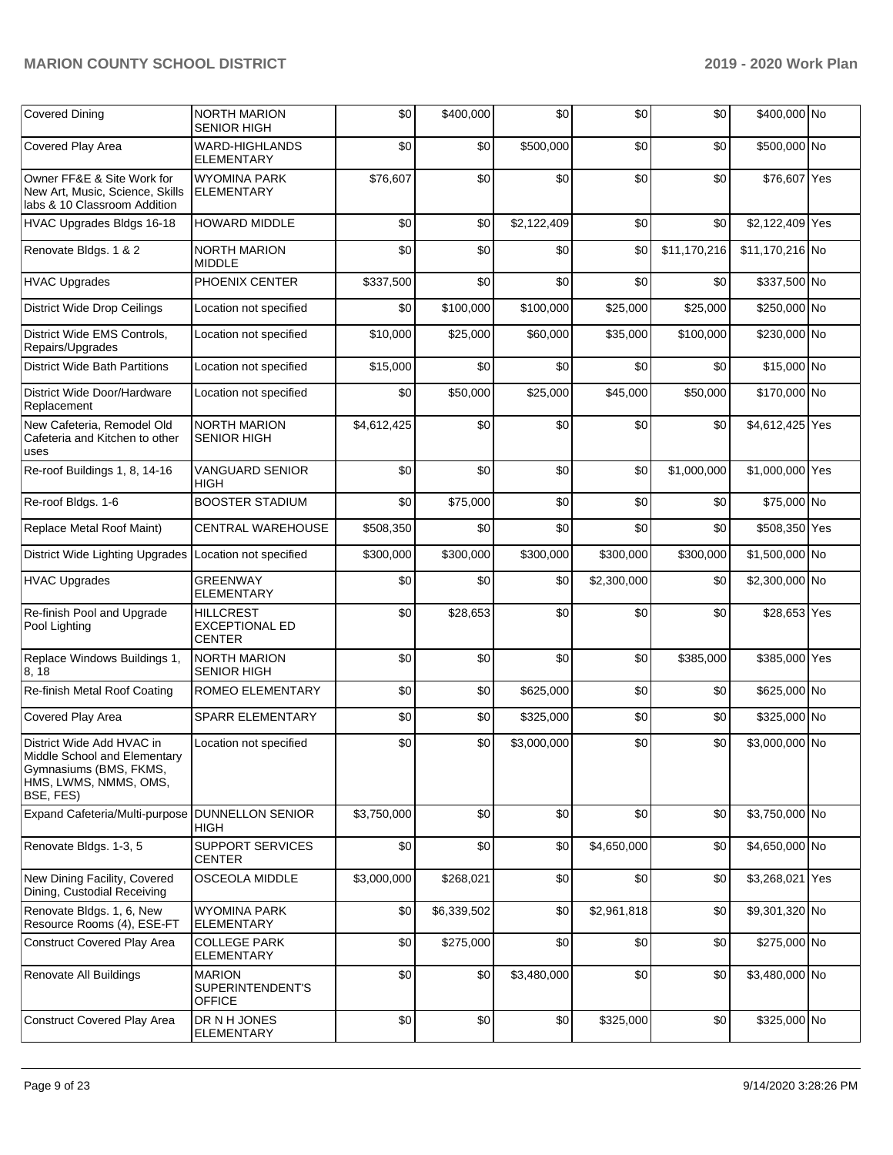| <b>Covered Dining</b>                                                                                                     | <b>NORTH MARION</b><br><b>SENIOR HIGH</b>                  | \$0         | \$400,000   | \$0         | \$0         | \$0          | \$400,000 No    |  |
|---------------------------------------------------------------------------------------------------------------------------|------------------------------------------------------------|-------------|-------------|-------------|-------------|--------------|-----------------|--|
| Covered Play Area                                                                                                         | WARD-HIGHLANDS<br><b>ELEMENTARY</b>                        | \$0         | \$0         | \$500,000   | \$0         | \$0          | \$500,000 No    |  |
| Owner FF&E & Site Work for<br>New Art, Music, Science, Skills<br>labs & 10 Classroom Addition                             | <b>WYOMINA PARK</b><br><b>ELEMENTARY</b>                   | \$76,607    | \$0         | \$0         | \$0         | \$0          | \$76,607 Yes    |  |
| HVAC Upgrades Bldgs 16-18                                                                                                 | <b>HOWARD MIDDLE</b>                                       | \$0         | \$0         | \$2,122,409 | \$0         | \$0          | \$2,122,409 Yes |  |
| Renovate Bldgs. 1 & 2                                                                                                     | <b>NORTH MARION</b><br><b>MIDDLE</b>                       | \$0         | \$0         | \$0         | \$0         | \$11,170,216 | \$11,170,216 No |  |
| <b>HVAC Upgrades</b>                                                                                                      | PHOENIX CENTER                                             | \$337,500   | \$0         | \$0         | \$0         | \$0          | \$337,500 No    |  |
| <b>District Wide Drop Ceilings</b>                                                                                        | Location not specified                                     | \$0         | \$100,000   | \$100,000   | \$25,000    | \$25,000     | \$250,000 No    |  |
| District Wide EMS Controls,<br>Repairs/Upgrades                                                                           | Location not specified                                     | \$10,000    | \$25,000    | \$60,000    | \$35,000    | \$100,000    | \$230,000 No    |  |
| <b>District Wide Bath Partitions</b>                                                                                      | Location not specified                                     | \$15,000    | \$0         | \$0         | \$0         | \$0          | \$15,000 No     |  |
| District Wide Door/Hardware<br>Replacement                                                                                | Location not specified                                     | \$0         | \$50,000    | \$25,000    | \$45,000    | \$50,000     | \$170,000 No    |  |
| New Cafeteria, Remodel Old<br>Cafeteria and Kitchen to other<br>uses                                                      | <b>NORTH MARION</b><br><b>SENIOR HIGH</b>                  | \$4,612,425 | \$0         | \$0         | \$0         | \$0          | \$4,612,425 Yes |  |
| Re-roof Buildings 1, 8, 14-16                                                                                             | <b>VANGUARD SENIOR</b><br>HIGH                             | \$0         | \$0         | \$0         | \$0         | \$1,000,000  | \$1,000,000 Yes |  |
| Re-roof Bldgs. 1-6                                                                                                        | <b>BOOSTER STADIUM</b>                                     | \$0         | \$75,000    | \$0         | \$0         | \$0          | \$75,000 No     |  |
| Replace Metal Roof Maint)                                                                                                 | <b>CENTRAL WAREHOUSE</b>                                   | \$508,350   | \$0         | \$0         | \$0         | \$0          | \$508,350 Yes   |  |
| District Wide Lighting Upgrades                                                                                           | Location not specified                                     | \$300,000   | \$300,000   | \$300,000   | \$300,000   | \$300,000    | \$1,500,000 No  |  |
| <b>HVAC Upgrades</b>                                                                                                      | <b>GREENWAY</b><br><b>ELEMENTARY</b>                       | \$0         | \$0         | \$0         | \$2,300,000 | \$0          | \$2,300,000 No  |  |
| Re-finish Pool and Upgrade<br>Pool Lighting                                                                               | <b>HILLCREST</b><br><b>EXCEPTIONAL ED</b><br><b>CENTER</b> | \$0         | \$28,653    | \$0         | \$0         | \$0          | \$28,653 Yes    |  |
| Replace Windows Buildings 1,<br>8, 18                                                                                     | NORTH MARION<br><b>SENIOR HIGH</b>                         | \$0         | \$0         | \$0         | \$0         | \$385,000    | \$385,000 Yes   |  |
| Re-finish Metal Roof Coating                                                                                              | ROMEO ELEMENTARY                                           | \$0         | \$0         | \$625,000   | \$0         | \$0          | \$625,000 No    |  |
| Covered Play Area                                                                                                         | SPARR ELEMENTARY                                           | \$0         | \$0         | \$325,000   | \$0         | \$0          | \$325,000 No    |  |
| District Wide Add HVAC in<br>Middle School and Elementary<br>Gymnasiums (BMS, FKMS,<br>HMS, LWMS, NMMS, OMS,<br>BSE, FES) | Location not specified                                     | \$0         | \$0         | \$3,000,000 | \$0         | \$0          | \$3,000,000 No  |  |
| Expand Cafeteria/Multi-purpose                                                                                            | <b>DUNNELLON SENIOR</b><br><b>HIGH</b>                     | \$3,750,000 | \$0         | \$0         | \$0         | \$0          | \$3,750,000 No  |  |
| Renovate Bldgs. 1-3, 5                                                                                                    | <b>SUPPORT SERVICES</b><br><b>CENTER</b>                   | \$0         | \$0         | \$0         | \$4,650,000 | \$0          | \$4,650,000 No  |  |
| New Dining Facility, Covered<br>Dining, Custodial Receiving                                                               | <b>OSCEOLA MIDDLE</b>                                      | \$3,000,000 | \$268,021   | \$0         | \$0         | \$0          | \$3,268,021 Yes |  |
| Renovate Bldgs. 1, 6, New<br>Resource Rooms (4), ESE-FT                                                                   | <b>WYOMINA PARK</b><br><b>ELEMENTARY</b>                   | \$0         | \$6,339,502 | \$0         | \$2,961,818 | \$0          | \$9,301,320 No  |  |
| <b>Construct Covered Play Area</b>                                                                                        | <b>COLLEGE PARK</b><br><b>ELEMENTARY</b>                   | \$0         | \$275,000   | \$0         | \$0         | \$0          | \$275,000 No    |  |
| Renovate All Buildings                                                                                                    | <b>MARION</b><br>SUPERINTENDENT'S<br><b>OFFICE</b>         | \$0         | \$0         | \$3,480,000 | \$0         | \$0          | \$3,480,000 No  |  |
| <b>Construct Covered Play Area</b>                                                                                        | DR N H JONES<br><b>ELEMENTARY</b>                          | \$0         | \$0         | \$0         | \$325,000   | \$0          | \$325,000 No    |  |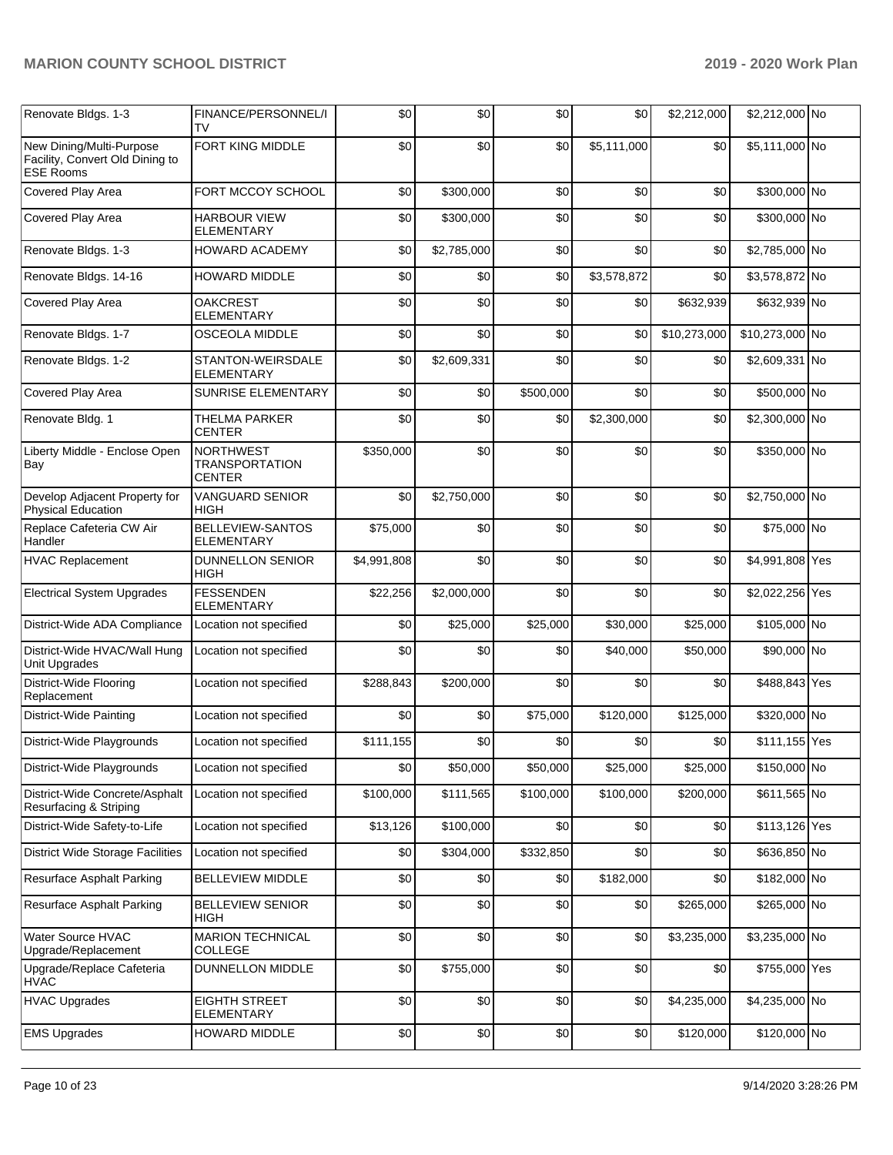| Renovate Bldgs. 1-3                                                             | FINANCE/PERSONNEL/I<br>TV                                  | \$0         | \$0         | \$0       | \$0         | \$2,212,000  | \$2,212,000 No  |  |
|---------------------------------------------------------------------------------|------------------------------------------------------------|-------------|-------------|-----------|-------------|--------------|-----------------|--|
| New Dining/Multi-Purpose<br>Facility, Convert Old Dining to<br><b>ESE Rooms</b> | <b>FORT KING MIDDLE</b>                                    | \$0         | \$0         | \$0       | \$5,111,000 | \$0          | \$5,111,000 No  |  |
| Covered Play Area                                                               | FORT MCCOY SCHOOL                                          | \$0         | \$300,000   | \$0       | \$0         | \$0          | \$300,000 No    |  |
| Covered Play Area                                                               | <b>HARBOUR VIEW</b><br><b>ELEMENTARY</b>                   | \$0         | \$300,000   | \$0       | \$0         | \$0          | \$300,000 No    |  |
| Renovate Bldgs. 1-3                                                             | <b>HOWARD ACADEMY</b>                                      | \$0         | \$2,785,000 | \$0       | \$0         | \$0          | \$2,785,000 No  |  |
| Renovate Bldgs. 14-16                                                           | <b>HOWARD MIDDLE</b>                                       | \$0         | \$0         | \$0       | \$3,578,872 | \$0          | \$3,578,872 No  |  |
| Covered Play Area                                                               | <b>OAKCREST</b><br><b>ELEMENTARY</b>                       | \$0         | \$0         | \$0       | \$0         | \$632,939    | \$632,939 No    |  |
| Renovate Bldgs. 1-7                                                             | <b>OSCEOLA MIDDLE</b>                                      | \$0         | \$0         | \$0       | \$0         | \$10,273,000 | \$10,273,000 No |  |
| Renovate Bldgs. 1-2                                                             | STANTON-WEIRSDALE<br><b>ELEMENTARY</b>                     | \$0         | \$2,609,331 | \$0       | \$0         | \$0          | \$2,609,331 No  |  |
| Covered Play Area                                                               | <b>SUNRISE ELEMENTARY</b>                                  | \$0         | \$0         | \$500,000 | \$0         | \$0          | \$500,000 No    |  |
| Renovate Bldg. 1                                                                | <b>THELMA PARKER</b><br><b>CENTER</b>                      | \$0         | \$0         | \$0       | \$2,300,000 | \$0          | \$2,300,000 No  |  |
| Liberty Middle - Enclose Open<br>Bay                                            | <b>NORTHWEST</b><br><b>TRANSPORTATION</b><br><b>CENTER</b> | \$350,000   | \$0         | \$0       | \$0         | \$0          | \$350,000 No    |  |
| Develop Adjacent Property for<br><b>Physical Education</b>                      | VANGUARD SENIOR<br><b>HIGH</b>                             | \$0         | \$2,750,000 | \$0       | \$0         | \$0          | \$2,750,000 No  |  |
| Replace Cafeteria CW Air<br>Handler                                             | BELLEVIEW-SANTOS<br><b>ELEMENTARY</b>                      | \$75,000    | \$0         | \$0       | \$0         | \$0          | \$75,000 No     |  |
| <b>HVAC Replacement</b>                                                         | <b>DUNNELLON SENIOR</b><br>HIGH                            | \$4,991,808 | \$0         | \$0       | \$0         | \$0          | \$4,991,808 Yes |  |
| <b>Electrical System Upgrades</b>                                               | <b>FESSENDEN</b><br><b>ELEMENTARY</b>                      | \$22,256    | \$2,000,000 | \$0       | \$0         | \$0          | \$2,022,256 Yes |  |
| District-Wide ADA Compliance                                                    | Location not specified                                     | \$0         | \$25,000    | \$25,000  | \$30,000    | \$25,000     | \$105,000 No    |  |
| District-Wide HVAC/Wall Hung<br>Unit Upgrades                                   | Location not specified                                     | \$0         | \$0         | \$0       | \$40,000    | \$50,000     | \$90,000 No     |  |
| District-Wide Flooring<br>Replacement                                           | Location not specified                                     | \$288,843   | \$200,000   | \$0       | \$0         | \$0          | \$488,843 Yes   |  |
| District-Wide Painting                                                          | Location not specified                                     | \$0         | \$0         | \$75,000  | \$120,000   | \$125,000    | \$320,000 No    |  |
| District-Wide Playgrounds                                                       | Location not specified                                     | \$111,155   | \$0         | \$0       | \$0         | \$0          | \$111,155 Yes   |  |
| District-Wide Playgrounds                                                       | Location not specified                                     | \$0         | \$50,000    | \$50,000  | \$25,000    | \$25,000     | \$150,000 No    |  |
| District-Wide Concrete/Asphalt<br>Resurfacing & Striping                        | Location not specified                                     | \$100,000   | \$111,565   | \$100,000 | \$100,000   | \$200,000    | \$611,565 No    |  |
| District-Wide Safety-to-Life                                                    | Location not specified                                     | \$13,126    | \$100,000   | \$0       | \$0         | \$0          | \$113,126 Yes   |  |
| <b>District Wide Storage Facilities</b>                                         | Location not specified                                     | \$0         | \$304,000   | \$332,850 | \$0         | \$0          | \$636,850 No    |  |
| Resurface Asphalt Parking                                                       | <b>BELLEVIEW MIDDLE</b>                                    | \$0         | \$0         | \$0       | \$182,000   | \$0          | \$182,000 No    |  |
| Resurface Asphalt Parking                                                       | <b>BELLEVIEW SENIOR</b><br><b>HIGH</b>                     | \$0         | \$0         | \$0       | \$0         | \$265,000    | \$265,000 No    |  |
| Water Source HVAC<br>Upgrade/Replacement                                        | <b>MARION TECHNICAL</b><br>COLLEGE                         | \$0         | \$0         | \$0       | \$0         | \$3,235,000  | \$3,235,000 No  |  |
| Upgrade/Replace Cafeteria<br><b>HVAC</b>                                        | <b>DUNNELLON MIDDLE</b>                                    | \$0         | \$755,000   | \$0       | \$0         | \$0          | \$755,000 Yes   |  |
| <b>HVAC Upgrades</b>                                                            | <b>EIGHTH STREET</b><br><b>ELEMENTARY</b>                  | \$0         | \$0         | \$0       | \$0         | \$4,235,000  | \$4,235,000 No  |  |
| <b>EMS Upgrades</b>                                                             | HOWARD MIDDLE                                              | \$0         | \$0         | \$0       | \$0         | \$120,000    | \$120,000 No    |  |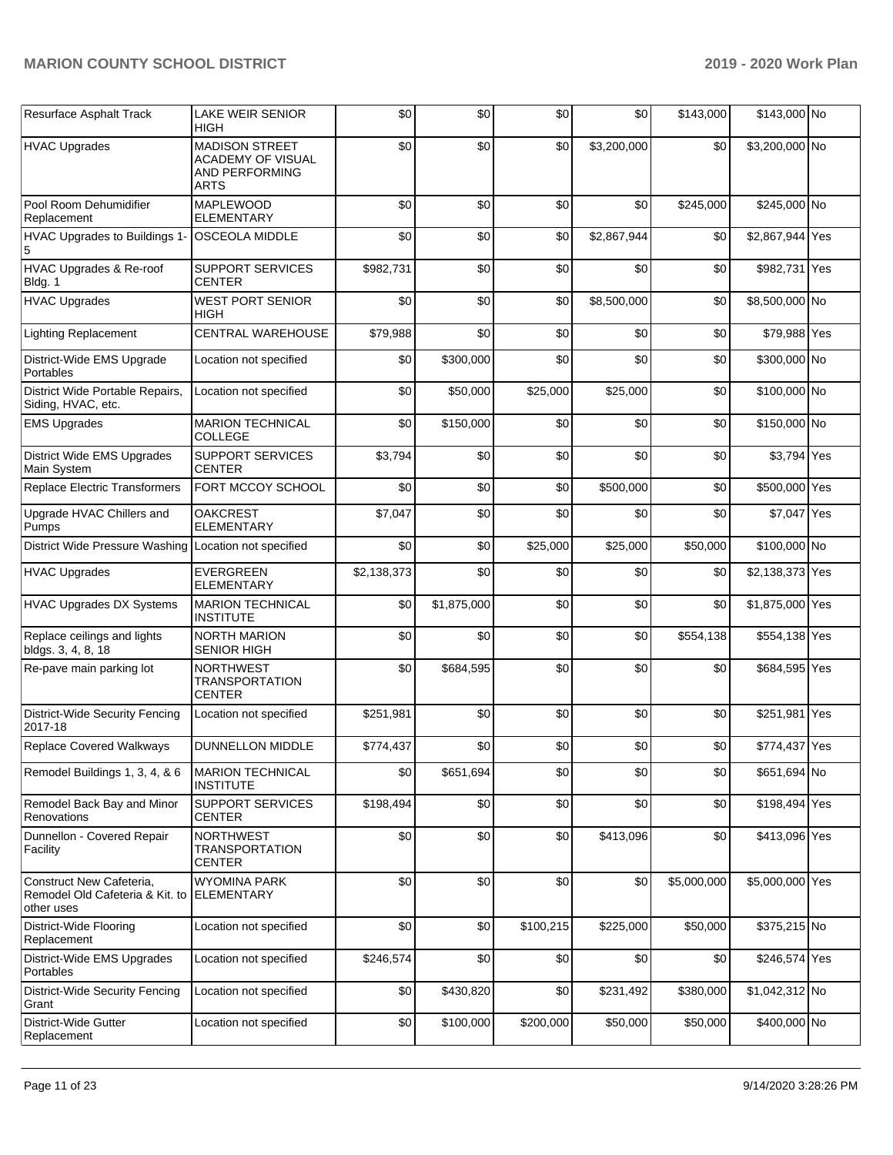| Resurface Asphalt Track                                                   | <b>LAKE WEIR SENIOR</b><br>HIGH                                             | \$0         | \$0         | \$0       | \$0         | \$143,000   | \$143,000 No    |     |
|---------------------------------------------------------------------------|-----------------------------------------------------------------------------|-------------|-------------|-----------|-------------|-------------|-----------------|-----|
| <b>HVAC Upgrades</b>                                                      | <b>MADISON STREET</b><br>ACADEMY OF VISUAL<br>AND PERFORMING<br><b>ARTS</b> | \$0         | \$0         | \$0       | \$3,200,000 | \$0         | \$3,200,000 No  |     |
| Pool Room Dehumidifier<br>Replacement                                     | <b>MAPLEWOOD</b><br><b>ELEMENTARY</b>                                       | \$0         | \$0         | \$0       | \$0         | \$245,000   | \$245,000 No    |     |
| HVAC Upgrades to Buildings 1-<br>5                                        | <b>OSCEOLA MIDDLE</b>                                                       | \$0         | \$0         | \$0       | \$2,867,944 | \$0         | \$2,867,944 Yes |     |
| HVAC Upgrades & Re-roof<br>Bldg. 1                                        | <b>SUPPORT SERVICES</b><br><b>CENTER</b>                                    | \$982,731   | \$0         | \$0       | \$0         | \$0         | \$982,731 Yes   |     |
| <b>HVAC Upgrades</b>                                                      | <b>WEST PORT SENIOR</b><br>HIGH                                             | \$0         | \$0         | \$0       | \$8,500,000 | \$0         | \$8,500,000 No  |     |
| <b>Lighting Replacement</b>                                               | CENTRAL WAREHOUSE                                                           | \$79,988    | \$0         | \$0       | \$0         | \$0         | \$79,988 Yes    |     |
| District-Wide EMS Upgrade<br>Portables                                    | Location not specified                                                      | \$0         | \$300,000   | \$0       | \$0         | \$0         | \$300,000 No    |     |
| District Wide Portable Repairs,<br>Siding, HVAC, etc.                     | Location not specified                                                      | \$0         | \$50,000    | \$25,000  | \$25,000    | \$0         | \$100,000 No    |     |
| <b>EMS Upgrades</b>                                                       | <b>MARION TECHNICAL</b><br><b>COLLEGE</b>                                   | \$0         | \$150,000   | \$0       | \$0         | \$0         | \$150,000 No    |     |
| District Wide EMS Upgrades<br>Main System                                 | <b>SUPPORT SERVICES</b><br><b>CENTER</b>                                    | \$3,794     | \$0         | \$0       | \$0         | \$0         | \$3,794 Yes     |     |
| <b>Replace Electric Transformers</b>                                      | FORT MCCOY SCHOOL                                                           | \$0         | \$0         | \$0       | \$500,000   | \$0         | \$500,000 Yes   |     |
| Upgrade HVAC Chillers and<br>Pumps                                        | <b>OAKCREST</b><br><b>ELEMENTARY</b>                                        | \$7,047     | \$0         | \$0       | \$0         | \$0         | \$7,047 Yes     |     |
| District Wide Pressure Washing Location not specified                     |                                                                             | \$0         | \$0         | \$25,000  | \$25,000    | \$50,000    | \$100,000 No    |     |
| <b>HVAC Upgrades</b>                                                      | <b>EVERGREEN</b><br><b>ELEMENTARY</b>                                       | \$2,138,373 | \$0         | \$0       | \$0         | \$0         | \$2,138,373 Yes |     |
| <b>HVAC Upgrades DX Systems</b>                                           | <b>MARION TECHNICAL</b><br><b>INSTITUTE</b>                                 | \$0         | \$1,875,000 | \$0       | \$0         | \$0         | \$1,875,000 Yes |     |
| Replace ceilings and lights<br>bldgs. 3, 4, 8, 18                         | <b>NORTH MARION</b><br><b>SENIOR HIGH</b>                                   | \$0         | \$0         | \$0       | \$0         | \$554,138   | \$554,138 Yes   |     |
| Re-pave main parking lot                                                  | <b>NORTHWEST</b><br><b>TRANSPORTATION</b><br><b>CENTER</b>                  | \$0         | \$684,595   | \$0       | \$0         | \$0         | \$684,595 Yes   |     |
| <b>District-Wide Security Fencing</b><br>2017-18                          | Location not specified                                                      | \$251,981   | \$0         | \$0       | \$0         | \$0         | \$251,981       | Yes |
| Replace Covered Walkways                                                  | <b>DUNNELLON MIDDLE</b>                                                     | \$774,437   | \$0         | \$0       | \$0         | \$0         | \$774,437 Yes   |     |
| Remodel Buildings 1, 3, 4, & 6                                            | <b>MARION TECHNICAL</b><br><b>INSTITUTE</b>                                 | \$0         | \$651,694   | \$0       | \$0         | \$0         | \$651,694 No    |     |
| Remodel Back Bay and Minor<br>Renovations                                 | SUPPORT SERVICES<br><b>CENTER</b>                                           | \$198,494   | \$0         | \$0       | \$0         | \$0         | \$198,494 Yes   |     |
| Dunnellon - Covered Repair<br>Facility                                    | <b>NORTHWEST</b><br><b>TRANSPORTATION</b><br><b>CENTER</b>                  | \$0         | \$0         | \$0       | \$413,096   | \$0         | \$413,096 Yes   |     |
| Construct New Cafeteria,<br>Remodel Old Cafeteria & Kit. to<br>other uses | <b>WYOMINA PARK</b><br><b>ELEMENTARY</b>                                    | \$0         | \$0         | \$0       | \$0         | \$5,000,000 | \$5,000,000 Yes |     |
| District-Wide Flooring<br>Replacement                                     | Location not specified                                                      | \$0         | \$0         | \$100,215 | \$225,000   | \$50,000    | \$375,215 No    |     |
| District-Wide EMS Upgrades<br>Portables                                   | Location not specified                                                      | \$246,574   | \$0         | \$0       | \$0         | \$0         | \$246,574 Yes   |     |
| <b>District-Wide Security Fencing</b><br>Grant                            | Location not specified                                                      | \$0         | \$430,820   | \$0       | \$231,492   | \$380,000   | \$1,042,312 No  |     |
| District-Wide Gutter<br>Replacement                                       | Location not specified                                                      | \$0         | \$100,000   | \$200,000 | \$50,000    | \$50,000    | \$400,000 No    |     |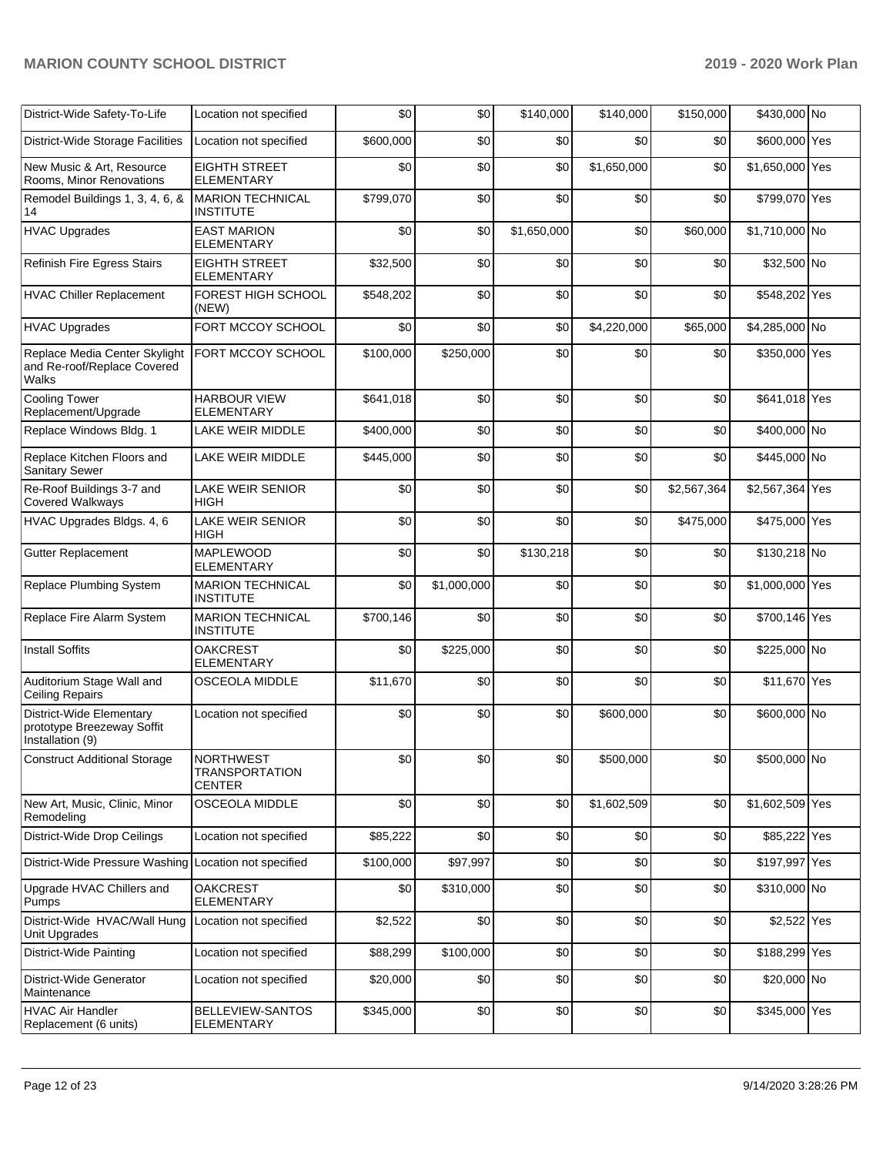| District-Wide Safety-To-Life                                               | Location not specified                                     | \$0       | \$0         | \$140,000   | \$140,000   | \$150,000   | \$430,000 No    |  |
|----------------------------------------------------------------------------|------------------------------------------------------------|-----------|-------------|-------------|-------------|-------------|-----------------|--|
| District-Wide Storage Facilities                                           | Location not specified                                     | \$600,000 | \$0         | \$0         | \$0         | \$0         | \$600,000 Yes   |  |
| New Music & Art, Resource<br>Rooms, Minor Renovations                      | <b>EIGHTH STREET</b><br><b>ELEMENTARY</b>                  | \$0       | \$0         | \$0         | \$1,650,000 | \$0         | \$1,650,000 Yes |  |
| Remodel Buildings 1, 3, 4, 6, &<br>14                                      | <b>MARION TECHNICAL</b><br><b>INSTITUTE</b>                | \$799,070 | \$0         | \$0         | \$0         | \$0         | \$799,070 Yes   |  |
| <b>HVAC Upgrades</b>                                                       | <b>EAST MARION</b><br><b>ELEMENTARY</b>                    | \$0       | \$0         | \$1,650,000 | \$0         | \$60,000    | \$1,710,000 No  |  |
| Refinish Fire Egress Stairs                                                | <b>EIGHTH STREET</b><br><b>ELEMENTARY</b>                  | \$32,500  | \$0         | \$0         | \$0         | \$0         | \$32,500 No     |  |
| <b>HVAC Chiller Replacement</b>                                            | FOREST HIGH SCHOOL<br>(NEW)                                | \$548,202 | \$0         | \$0         | \$0         | \$0         | \$548,202 Yes   |  |
| <b>HVAC Upgrades</b>                                                       | FORT MCCOY SCHOOL                                          | \$0       | \$0         | \$0         | \$4,220,000 | \$65,000    | \$4,285,000 No  |  |
| Replace Media Center Skylight<br>and Re-roof/Replace Covered<br>Walks      | FORT MCCOY SCHOOL                                          | \$100,000 | \$250,000   | \$0         | \$0         | \$0         | \$350,000 Yes   |  |
| <b>Cooling Tower</b><br>Replacement/Upgrade                                | <b>HARBOUR VIEW</b><br><b>ELEMENTARY</b>                   | \$641,018 | \$0         | \$0         | \$0         | \$0         | \$641,018 Yes   |  |
| Replace Windows Bldg. 1                                                    | LAKE WEIR MIDDLE                                           | \$400,000 | \$0         | \$0         | \$0         | \$0         | \$400,000 No    |  |
| Replace Kitchen Floors and<br>Sanitary Sewer                               | LAKE WEIR MIDDLE                                           | \$445,000 | \$0         | \$0         | \$0         | \$0         | \$445,000 No    |  |
| Re-Roof Buildings 3-7 and<br><b>Covered Walkways</b>                       | <b>LAKE WEIR SENIOR</b><br>HIGH                            | \$0       | \$0         | \$0         | \$0         | \$2,567,364 | \$2,567,364 Yes |  |
| HVAC Upgrades Bldgs. 4, 6                                                  | <b>LAKE WEIR SENIOR</b><br><b>HIGH</b>                     | \$0       | \$0         | \$0         | \$0         | \$475,000   | \$475,000 Yes   |  |
| Gutter Replacement                                                         | <b>MAPLEWOOD</b><br><b>ELEMENTARY</b>                      | \$0       | \$0         | \$130,218   | \$0         | \$0         | \$130,218 No    |  |
| Replace Plumbing System                                                    | <b>MARION TECHNICAL</b><br><b>INSTITUTE</b>                | \$0       | \$1,000,000 | \$0         | \$0         | \$0         | \$1,000,000 Yes |  |
| Replace Fire Alarm System                                                  | <b>MARION TECHNICAL</b><br><b>INSTITUTE</b>                | \$700,146 | \$0         | \$0         | \$0         | \$0         | \$700,146 Yes   |  |
| <b>Install Soffits</b>                                                     | <b>OAKCREST</b><br><b>ELEMENTARY</b>                       | \$0       | \$225,000   | \$0         | \$0         | \$0         | \$225,000 No    |  |
| Auditorium Stage Wall and<br><b>Ceiling Repairs</b>                        | <b>OSCEOLA MIDDLE</b>                                      | \$11,670  | \$0         | \$0         | \$0         | \$0         | \$11,670 Yes    |  |
| District-Wide Elementary<br>prototype Breezeway Soffit<br>Installation (9) | Location not specified                                     | \$0       | \$0         | \$0         | \$600,000   | \$0         | \$600,000 No    |  |
| <b>Construct Additional Storage</b>                                        | <b>NORTHWEST</b><br><b>TRANSPORTATION</b><br><b>CENTER</b> | \$0       | \$0         | \$0         | \$500,000   | \$0         | \$500,000 No    |  |
| New Art, Music, Clinic, Minor<br>Remodeling                                | OSCEOLA MIDDLE                                             | \$0       | \$0         | \$0         | \$1,602,509 | \$0         | \$1,602,509 Yes |  |
| District-Wide Drop Ceilings                                                | Location not specified                                     | \$85,222  | \$0         | \$0         | \$0         | \$0         | \$85,222 Yes    |  |
| District-Wide Pressure Washing Location not specified                      |                                                            | \$100,000 | \$97,997    | \$0         | \$0         | \$0         | \$197,997 Yes   |  |
| Upgrade HVAC Chillers and<br>Pumps                                         | <b>OAKCREST</b><br><b>ELEMENTARY</b>                       | \$0       | \$310,000   | \$0         | \$0         | \$0         | \$310,000 No    |  |
| District-Wide HVAC/Wall Hung<br>Unit Upgrades                              | Location not specified                                     | \$2,522   | \$0         | \$0         | \$0         | \$0         | \$2,522 Yes     |  |
| District-Wide Painting                                                     | Location not specified                                     | \$88,299  | \$100,000   | \$0         | \$0         | \$0         | \$188,299 Yes   |  |
| District-Wide Generator<br>Maintenance                                     | Location not specified                                     | \$20,000  | \$0         | \$0         | \$0         | \$0         | \$20,000 No     |  |
| HVAC Air Handler<br>Replacement (6 units)                                  | BELLEVIEW-SANTOS<br>ELEMENTARY                             | \$345,000 | \$0         | \$0         | \$0         | \$0         | \$345,000 Yes   |  |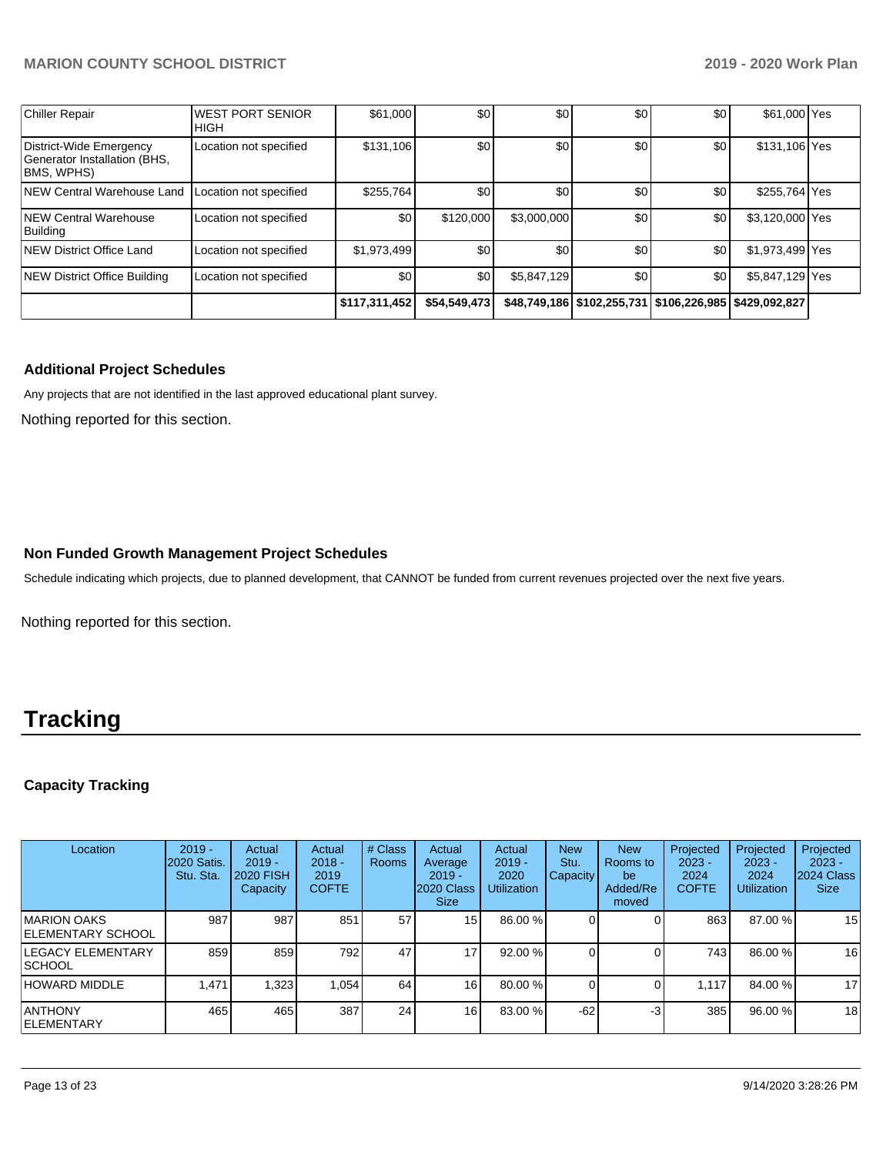| <b>Chiller Repair</b>                                                 | <b>WEST PORT SENIOR</b><br><b>HIGH</b> | \$61,000      | \$0          | \$0         | \$0 | \$0                                                          | \$61,000 Yes    |  |
|-----------------------------------------------------------------------|----------------------------------------|---------------|--------------|-------------|-----|--------------------------------------------------------------|-----------------|--|
| District-Wide Emergency<br>Generator Installation (BHS,<br>BMS, WPHS) | Location not specified                 | \$131,106     | \$0          | \$0         | \$0 | \$0 <sub>1</sub>                                             | \$131,106 Yes   |  |
| NEW Central Warehouse Land                                            | Location not specified                 | \$255,764     | \$0          | \$0         | \$0 | \$0 <sub>1</sub>                                             | \$255,764 Yes   |  |
| NEW Central Warehouse<br>Building                                     | Location not specified                 | \$0           | \$120,000    | \$3,000,000 | \$0 | \$0 <sub>1</sub>                                             | \$3,120,000 Yes |  |
| NEW District Office Land                                              | Location not specified                 | \$1,973,499   | \$0          | \$0         | \$0 | \$0 <sub>1</sub>                                             | \$1,973,499 Yes |  |
| NEW District Office Building                                          | Location not specified                 | \$0           | \$0          | \$5,847,129 | \$0 | \$0 <sub>1</sub>                                             | \$5,847,129 Yes |  |
|                                                                       |                                        | \$117,311,452 | \$54,549,473 |             |     | \$48,749,186   \$102,255,731   \$106,226,985   \$429,092,827 |                 |  |

### **Additional Project Schedules**

Any projects that are not identified in the last approved educational plant survey.

Nothing reported for this section.

### **Non Funded Growth Management Project Schedules**

Schedule indicating which projects, due to planned development, that CANNOT be funded from current revenues projected over the next five years.

Nothing reported for this section.

# **Tracking**

# **Capacity Tracking**

| Location                            | $2019 -$<br><b>2020 Satis.</b><br>Stu. Sta. | Actual<br>$2019 -$<br><b>2020 FISH</b><br>Capacity | Actual<br>$2018 -$<br>2019<br><b>COFTE</b> | # Class<br>Rooms | Actual<br>Average<br>$2019 -$<br>2020 Class<br><b>Size</b> | Actual<br>$2019 -$<br>2020<br><b>Utilization</b> | <b>New</b><br>Stu.<br>Capacity | <b>New</b><br>Rooms to<br>be<br>Added/Re<br>moved | Projected<br>$2023 -$<br>2024<br><b>COFTE</b> | Projected<br>$2023 -$<br>2024<br><b>Utilization</b> | Projected<br>$2023 -$<br>2024 Class<br><b>Size</b> |
|-------------------------------------|---------------------------------------------|----------------------------------------------------|--------------------------------------------|------------------|------------------------------------------------------------|--------------------------------------------------|--------------------------------|---------------------------------------------------|-----------------------------------------------|-----------------------------------------------------|----------------------------------------------------|
| IMARION OAKS<br>IELEMENTARY SCHOOL  | 987                                         | 987                                                | 851                                        | 57               | 15 <sup>1</sup>                                            | 86.00 %                                          |                                |                                                   | 863                                           | 87.00 %                                             | 15                                                 |
| <b>LEGACY ELEMENTARY</b><br> SCHOOL | 859                                         | 859                                                | 792                                        | 47               | 17                                                         | 92.00 %                                          |                                |                                                   | 743                                           | 86.00 %                                             | 16                                                 |
| HOWARD MIDDLE                       | 1,471                                       | 1,323                                              | 1.054                                      | 64               | 16                                                         | 80.00 %                                          |                                |                                                   | 1.117                                         | 84.00 %                                             | 17                                                 |
| IANTHONY<br>IELEMENTARY             | 465                                         | 465                                                | 387                                        | 24               | 16                                                         | 83.00 %                                          | $-62$                          | -3                                                | 385                                           | 96.00 %                                             | 18                                                 |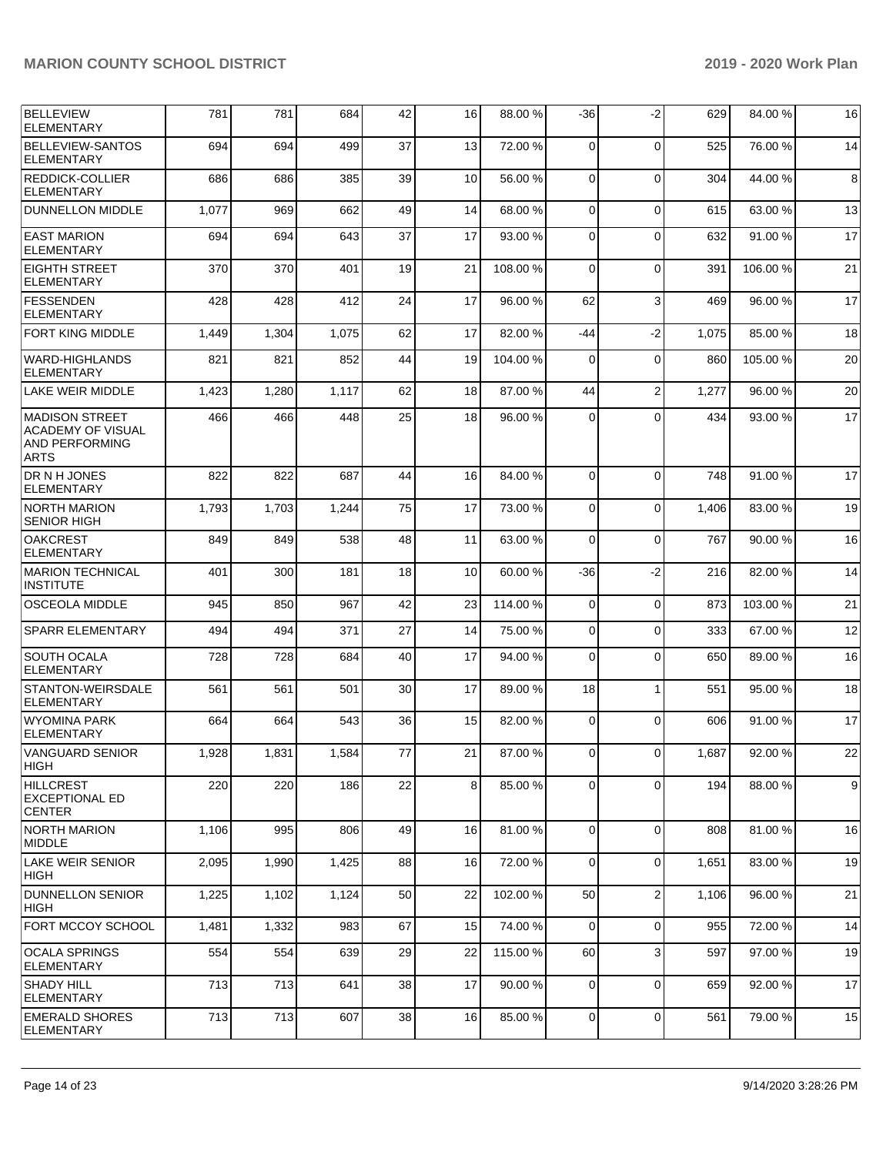| BELLEVIEW<br><b>ELEMENTARY</b>                                                     | 781   | 781   | 684   | 42 | 16 | 88.00 %  | $-36$          | $-2$           | 629   | 84.00 %  | 16             |
|------------------------------------------------------------------------------------|-------|-------|-------|----|----|----------|----------------|----------------|-------|----------|----------------|
| <b>BELLEVIEW-SANTOS</b><br><b>ELEMENTARY</b>                                       | 694   | 694   | 499   | 37 | 13 | 72.00 %  | $\Omega$       | $\Omega$       | 525   | 76.00 %  | 14             |
| <b>REDDICK-COLLIER</b><br><b>ELEMENTARY</b>                                        | 686   | 686   | 385   | 39 | 10 | 56.00 %  | $\Omega$       | $\Omega$       | 304   | 44.00 %  | 8              |
| <b>DUNNELLON MIDDLE</b>                                                            | 1,077 | 969   | 662   | 49 | 14 | 68.00 %  | $\Omega$       | $\mathbf 0$    | 615   | 63.00 %  | 13             |
| <b>EAST MARION</b><br><b>ELEMENTARY</b>                                            | 694   | 694   | 643   | 37 | 17 | 93.00 %  | $\Omega$       | $\Omega$       | 632   | 91.00 %  | 17             |
| EIGHTH STREET<br><b>ELEMENTARY</b>                                                 | 370   | 370   | 401   | 19 | 21 | 108.00%  | $\Omega$       | $\Omega$       | 391   | 106.00%  | 21             |
| <b>FESSENDEN</b><br><b>ELEMENTARY</b>                                              | 428   | 428   | 412   | 24 | 17 | 96.00 %  | 62             | 3              | 469   | 96.00 %  | 17             |
| <b>FORT KING MIDDLE</b>                                                            | 1,449 | 1,304 | 1,075 | 62 | 17 | 82.00 %  | -44            | $-2$           | 1,075 | 85.00 %  | 18             |
| <b>WARD-HIGHLANDS</b><br><b>ELEMENTARY</b>                                         | 821   | 821   | 852   | 44 | 19 | 104.00 % | $\Omega$       | $\Omega$       | 860   | 105.00 % | 20             |
| <b>LAKE WEIR MIDDLE</b>                                                            | 1,423 | 1,280 | 1,117 | 62 | 18 | 87.00 %  | 44             | $\overline{2}$ | 1,277 | 96.00 %  | 20             |
| MADISON STREET<br><b>ACADEMY OF VISUAL</b><br><b>AND PERFORMING</b><br><b>ARTS</b> | 466   | 466   | 448   | 25 | 18 | 96.00 %  | $\Omega$       | $\Omega$       | 434   | 93.00 %  | 17             |
| DR N H JONES<br><b>ELEMENTARY</b>                                                  | 822   | 822   | 687   | 44 | 16 | 84.00%   | $\Omega$       | $\Omega$       | 748   | 91.00%   | 17             |
| <b>NORTH MARION</b><br><b>SENIOR HIGH</b>                                          | 1,793 | 1,703 | 1,244 | 75 | 17 | 73.00 %  | $\Omega$       | $\Omega$       | 1,406 | 83.00 %  | 19             |
| <b>OAKCREST</b><br><b>ELEMENTARY</b>                                               | 849   | 849   | 538   | 48 | 11 | 63.00 %  | $\Omega$       | $\Omega$       | 767   | 90.00 %  | 16             |
| <b>MARION TECHNICAL</b><br><b>INSTITUTE</b>                                        | 401   | 300   | 181   | 18 | 10 | 60.00 %  | $-36$          | $-2$           | 216   | 82.00 %  | 14             |
| <b>OSCEOLA MIDDLE</b>                                                              | 945   | 850   | 967   | 42 | 23 | 114.00%  | $\Omega$       | $\mathbf 0$    | 873   | 103.00 % | 21             |
| <b>SPARR ELEMENTARY</b>                                                            | 494   | 494   | 371   | 27 | 14 | 75.00 %  | $\Omega$       | $\Omega$       | 333   | 67.00 %  | 12             |
| SOUTH OCALA<br><b>ELEMENTARY</b>                                                   | 728   | 728   | 684   | 40 | 17 | 94.00 %  | $\Omega$       | $\Omega$       | 650   | 89.00 %  | 16             |
| STANTON-WEIRSDALE<br><b>ELEMENTARY</b>                                             | 561   | 561   | 501   | 30 | 17 | 89.00 %  | 18             | 1              | 551   | 95.00 %  | 18             |
| <b>WYOMINA PARK</b><br><b>ELEMENTARY</b>                                           | 664   | 664   | 543   | 36 | 15 | 82.00 %  | $\Omega$       | $\Omega$       | 606   | 91.00 %  | 17             |
| VANGUARD SENIOR<br> HIGH                                                           | 1,928 | 1,831 | 1,584 | 77 | 21 | 87.00 %  | $\Omega$       | $\Omega$       | 1.687 | 92.00 %  | 22             |
| <b>HILLCREST</b><br><b>EXCEPTIONAL ED</b><br><b>CENTER</b>                         | 220   | 220   | 186   | 22 | 8  | 85.00 %  | $\Omega$       | 0              | 194   | 88.00 %  | $\overline{9}$ |
| NORTH MARION<br><b>IMIDDLE</b>                                                     | 1,106 | 995   | 806   | 49 | 16 | 81.00%   | $\Omega$       | $\mathbf 0$    | 808   | 81.00%   | 16             |
| LAKE WEIR SENIOR<br> HIGH                                                          | 2,095 | 1,990 | 1,425 | 88 | 16 | 72.00 %  | $\Omega$       | 0              | 1,651 | 83.00 %  | 19             |
| <b>DUNNELLON SENIOR</b><br>HIGH                                                    | 1,225 | 1,102 | 1,124 | 50 | 22 | 102.00%  | 50             | $\overline{2}$ | 1,106 | 96.00 %  | 21             |
| <b>FORT MCCOY SCHOOL</b>                                                           | 1,481 | 1,332 | 983   | 67 | 15 | 74.00%   | $\overline{0}$ | 0              | 955   | 72.00 %  | 14             |
| <b>OCALA SPRINGS</b><br><b>ELEMENTARY</b>                                          | 554   | 554   | 639   | 29 | 22 | 115.00 % | 60             | 3              | 597   | 97.00 %  | 19             |
| <b>SHADY HILL</b><br><b>ELEMENTARY</b>                                             | 713   | 713   | 641   | 38 | 17 | 90.00%   | $\Omega$       | $\Omega$       | 659   | 92.00 %  | 17             |
| <b>EMERALD SHORES</b><br><b>ELEMENTARY</b>                                         | 713   | 713   | 607   | 38 | 16 | 85.00 %  | 0              | 0              | 561   | 79.00 %  | 15             |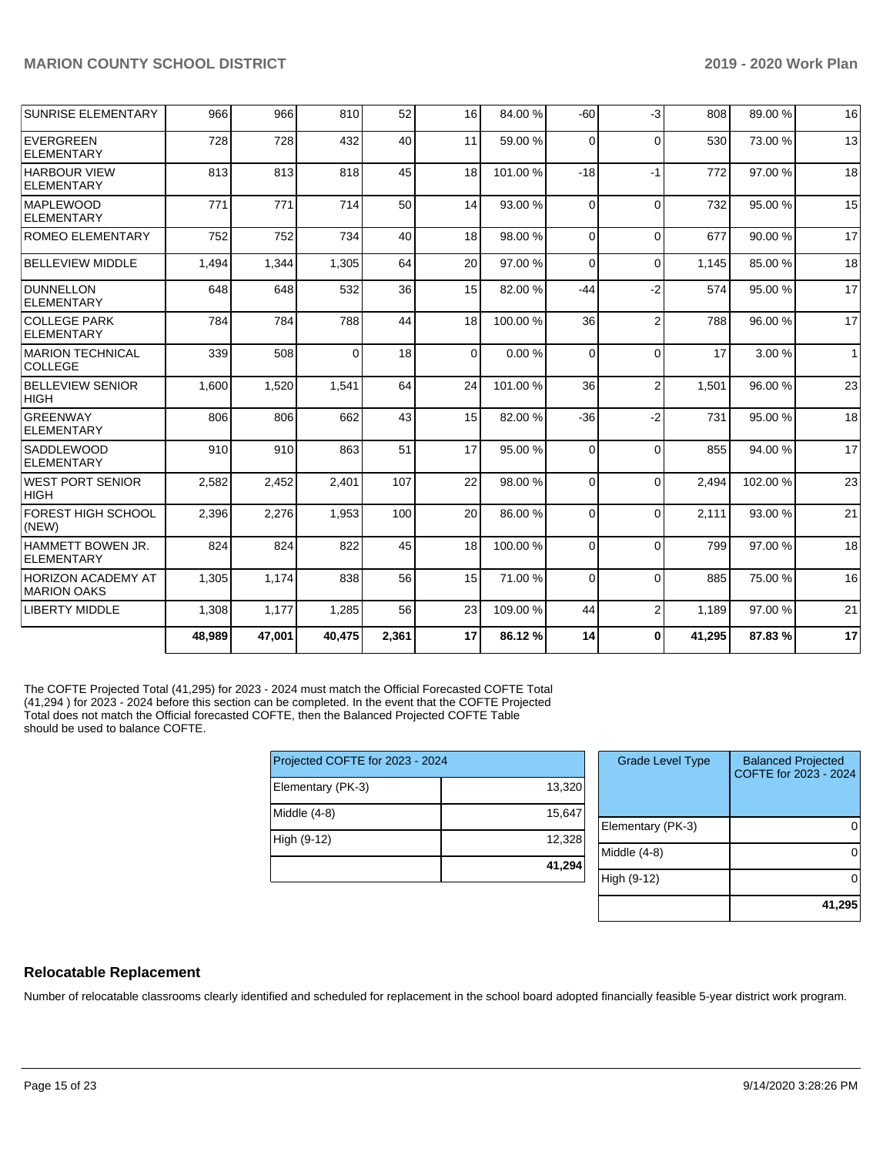| <b>SUNRISE ELEMENTARY</b>                 | 966    | 966    | 810      | 52    | 16 | 84.00 %  | $-60$    | $-3$           | 808    | 89.00 % | 16           |
|-------------------------------------------|--------|--------|----------|-------|----|----------|----------|----------------|--------|---------|--------------|
| EVERGREEN<br><b>ELEMENTARY</b>            | 728    | 728    | 432      | 40    | 11 | 59.00 %  | $\Omega$ | $\Omega$       | 530    | 73.00 % | 13           |
| <b>HARBOUR VIEW</b><br><b>ELEMENTARY</b>  | 813    | 813    | 818      | 45    | 18 | 101.00%  | $-18$    | $-1$           | 772    | 97.00 % | 18           |
| <b>MAPLEWOOD</b><br>ELEMENTARY            | 771    | 771    | 714      | 50    | 14 | 93.00 %  | $\Omega$ | $\Omega$       | 732    | 95.00 % | 15           |
| <b>ROMEO ELEMENTARY</b>                   | 752    | 752    | 734      | 40    | 18 | 98.00 %  | $\Omega$ | $\Omega$       | 677    | 90.00%  | 17           |
| <b>BELLEVIEW MIDDLE</b>                   | 1,494  | 1,344  | 1,305    | 64    | 20 | 97.00 %  | $\Omega$ | $\Omega$       | 1,145  | 85.00 % | 18           |
| DUNNELLON<br><b>ELEMENTARY</b>            | 648    | 648    | 532      | 36    | 15 | 82.00 %  | $-44$    | $-2$           | 574    | 95.00 % | 17           |
| <b>COLLEGE PARK</b><br>ELEMENTARY         | 784    | 784    | 788      | 44    | 18 | 100.00 % | 36       | $\overline{2}$ | 788    | 96.00%  | 17           |
| <b>MARION TECHNICAL</b><br><b>COLLEGE</b> | 339    | 508    | $\Omega$ | 18    | 0  | 0.00%    | $\Omega$ | $\Omega$       | 17     | 3.00 %  | $\mathbf{1}$ |
| <b>BELLEVIEW SENIOR</b><br><b>HIGH</b>    | 1,600  | 1,520  | 1,541    | 64    | 24 | 101.00%  | 36       | $\overline{2}$ | 1,501  | 96.00 % | 23           |
| <b>GREENWAY</b><br><b>ELEMENTARY</b>      | 806    | 806    | 662      | 43    | 15 | 82.00 %  | $-36$    | $-2$           | 731    | 95.00 % | 18           |
| <b>SADDLEWOOD</b><br><b>ELEMENTARY</b>    | 910    | 910    | 863      | 51    | 17 | 95.00 %  | $\Omega$ | $\Omega$       | 855    | 94.00%  | 17           |
| <b>WEST PORT SENIOR</b><br><b>HIGH</b>    | 2,582  | 2,452  | 2,401    | 107   | 22 | 98.00 %  | $\Omega$ | $\Omega$       | 2.494  | 102.00% | 23           |
| <b>FOREST HIGH SCHOOL</b><br>(NEW)        | 2,396  | 2,276  | 1,953    | 100   | 20 | 86.00 %  | $\Omega$ | $\Omega$       | 2,111  | 93.00 % | 21           |
| HAMMETT BOWEN JR.<br><b>ELEMENTARY</b>    | 824    | 824    | 822      | 45    | 18 | 100.00%  | $\Omega$ | $\Omega$       | 799    | 97.00 % | 18           |
| HORIZON ACADEMY AT<br><b>MARION OAKS</b>  | 1,305  | 1,174  | 838      | 56    | 15 | 71.00 %  | $\Omega$ | $\Omega$       | 885    | 75.00 % | 16           |
| <b>LIBERTY MIDDLE</b>                     | 1,308  | 1,177  | 1,285    | 56    | 23 | 109.00%  | 44       | $\overline{2}$ | 1,189  | 97.00 % | 21           |
|                                           | 48,989 | 47,001 | 40,475   | 2,361 | 17 | 86.12%   | 14       | $\mathbf{0}$   | 41,295 | 87.83%  | 17           |

The COFTE Projected Total (41,295) for 2023 - 2024 must match the Official Forecasted COFTE Total (41,294 ) for 2023 - 2024 before this section can be completed. In the event that the COFTE Projected Total does not match the Official forecasted COFTE, then the Balanced Projected COFTE Table should be used to balance COFTE.

|                   | Projected COFTE for 2023 - 2024 |  |  |  |  |  |
|-------------------|---------------------------------|--|--|--|--|--|
| Elementary (PK-3) | 13,320                          |  |  |  |  |  |
| Middle (4-8)      | 15,647                          |  |  |  |  |  |
| High (9-12)       | 12,328                          |  |  |  |  |  |
|                   | 41,294                          |  |  |  |  |  |

| <b>Grade Level Type</b> | <b>Balanced Projected</b><br>COFTE for 2023 - 2024 |
|-------------------------|----------------------------------------------------|
| Elementary (PK-3)       |                                                    |
| Middle $(4-8)$          |                                                    |
| High (9-12)             |                                                    |
|                         | 41,295                                             |

# **Relocatable Replacement**

Number of relocatable classrooms clearly identified and scheduled for replacement in the school board adopted financially feasible 5-year district work program.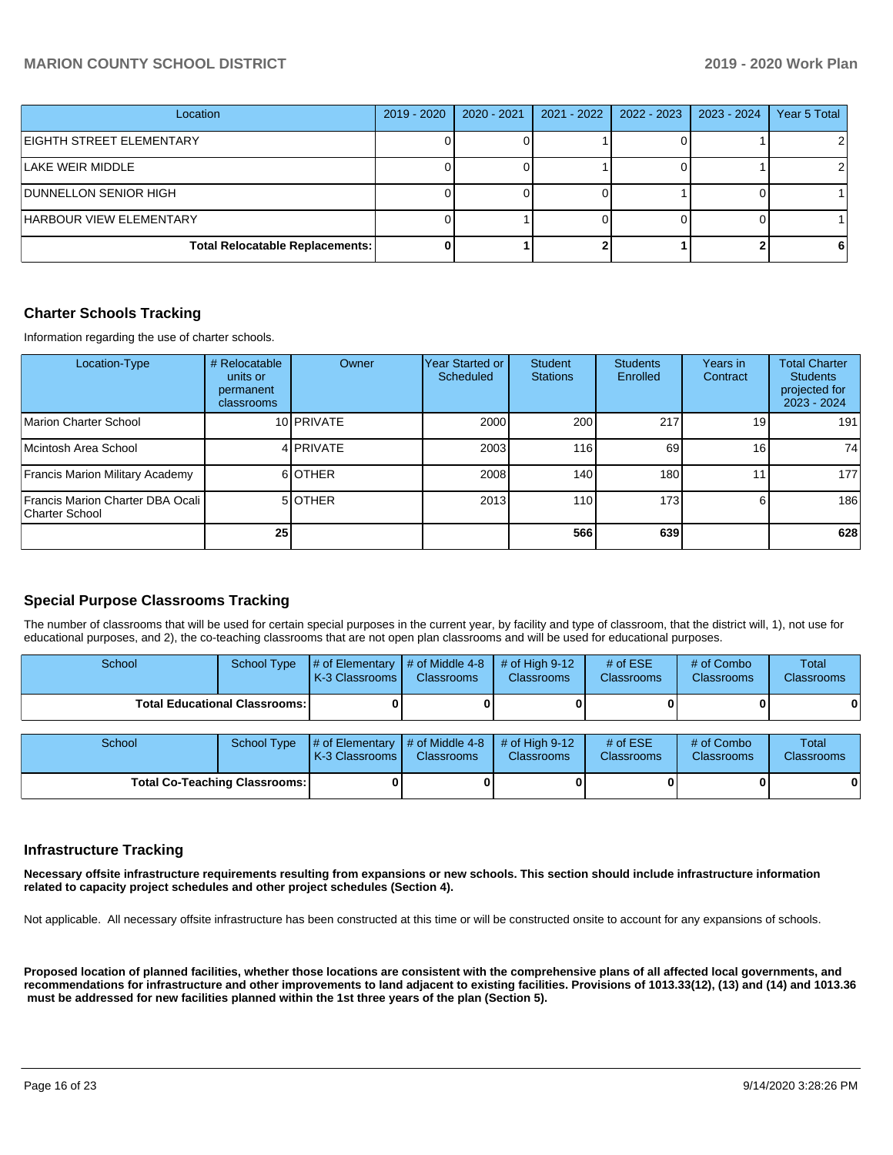| Location                               | 2019 - 2020 | 2020 - 2021 | 2021 - 2022 | 2022 - 2023 | 2023 - 2024 | Year 5 Total |
|----------------------------------------|-------------|-------------|-------------|-------------|-------------|--------------|
| EIGHTH STREET ELEMENTARY               |             |             |             |             |             |              |
| LAKE WEIR MIDDLE                       |             |             |             |             |             |              |
| <b>DUNNELLON SENIOR HIGH</b>           |             |             |             |             |             |              |
| <b>HARBOUR VIEW ELEMENTARY</b>         |             |             |             |             |             |              |
| <b>Total Relocatable Replacements:</b> |             |             |             |             |             |              |

#### **Charter Schools Tracking**

Information regarding the use of charter schools.

| Location-Type                                      | # Relocatable<br>units or<br>permanent<br>classrooms | Owner      | Year Started or<br>Scheduled | Student<br><b>Stations</b> | <b>Students</b><br>Enrolled | Years in<br>Contract | <b>Total Charter</b><br><b>Students</b><br>projected for<br>2023 - 2024 |
|----------------------------------------------------|------------------------------------------------------|------------|------------------------------|----------------------------|-----------------------------|----------------------|-------------------------------------------------------------------------|
| Marion Charter School                              |                                                      | 10 PRIVATE | 2000                         | 200                        | 217                         | 19 <sup>1</sup>      | 191                                                                     |
| Mcintosh Area School                               |                                                      | 4 PRIVATE  | 2003                         | 116                        | 69                          | 16 <sub>1</sub>      | 74                                                                      |
| Francis Marion Military Academy                    |                                                      | 6 OTHER    | 2008                         | 140.                       | 180                         |                      | 177                                                                     |
| Francis Marion Charter DBA Ocali<br>Charter School |                                                      | 5 OTHER    | 2013                         | 110                        | 173                         |                      | 186                                                                     |
|                                                    | 25                                                   |            |                              | 566                        | 639                         |                      | 628                                                                     |

# **Special Purpose Classrooms Tracking**

The number of classrooms that will be used for certain special purposes in the current year, by facility and type of classroom, that the district will, 1), not use for educational purposes, and 2), the co-teaching classrooms that are not open plan classrooms and will be used for educational purposes.

| School | <b>School Type</b>                   | # of Elementary<br><b>K-3 Classrooms</b> | $\frac{1}{4}$ of Middle 4-8<br><b>Classrooms</b> | # of High $9-12$<br><b>Classrooms</b> | # of $ESE$<br><b>Classrooms</b> | # of Combo<br><b>Classrooms</b> | Total<br>Classrooms |
|--------|--------------------------------------|------------------------------------------|--------------------------------------------------|---------------------------------------|---------------------------------|---------------------------------|---------------------|
|        | <b>Total Educational Classrooms:</b> |                                          |                                                  |                                       |                                 |                                 | 0                   |
| School | School Type                          | # of Elementary<br>K-3 Classrooms        | # of Middle 4-8<br><b>Classrooms</b>             | # of High $9-12$<br><b>Classrooms</b> | # of $ESE$<br><b>Classrooms</b> | # of Combo<br><b>Classrooms</b> | Total<br>Classrooms |
|        | <b>Total Co-Teaching Classrooms:</b> |                                          | 01                                               |                                       |                                 | 0                               | $\mathbf{0}$        |

#### **Infrastructure Tracking**

**Necessary offsite infrastructure requirements resulting from expansions or new schools. This section should include infrastructure information related to capacity project schedules and other project schedules (Section 4).** 

Not applicable. All necessary offsite infrastructure has been constructed at this time or will be constructed onsite to account for any expansions of schools.

**Proposed location of planned facilities, whether those locations are consistent with the comprehensive plans of all affected local governments, and recommendations for infrastructure and other improvements to land adjacent to existing facilities. Provisions of 1013.33(12), (13) and (14) and 1013.36 must be addressed for new facilities planned within the 1st three years of the plan (Section 5).**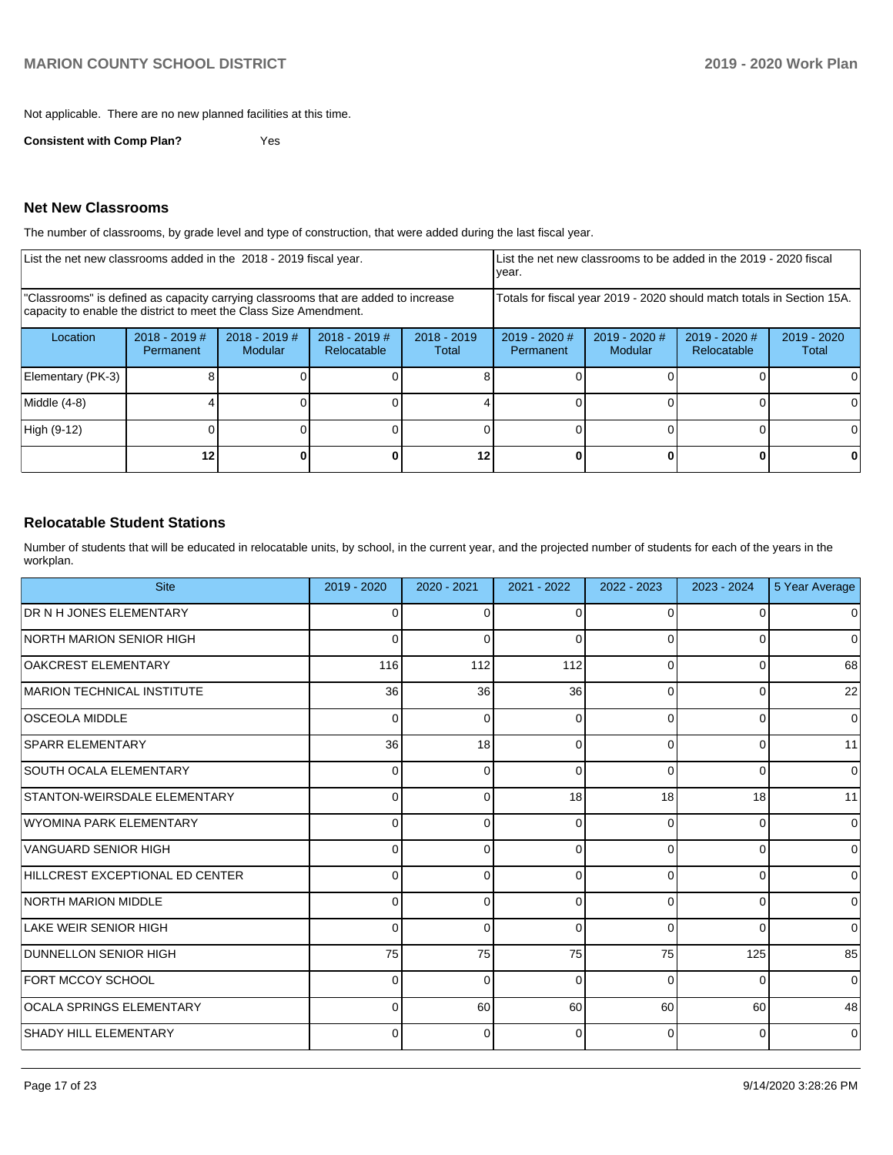Not applicable. There are no new planned facilities at this time.

**Consistent with Comp Plan?** Yes

#### **Net New Classrooms**

The number of classrooms, by grade level and type of construction, that were added during the last fiscal year.

| List the net new classrooms added in the 2018 - 2019 fiscal year. |                                     |                                                                                                                                                         |                                | year.                  |                              |                          | List the net new classrooms to be added in the 2019 - 2020 fiscal |                                                                                                      |  |  |
|-------------------------------------------------------------------|-------------------------------------|---------------------------------------------------------------------------------------------------------------------------------------------------------|--------------------------------|------------------------|------------------------------|--------------------------|-------------------------------------------------------------------|------------------------------------------------------------------------------------------------------|--|--|
|                                                                   |                                     | "Classrooms" is defined as capacity carrying classrooms that are added to increase<br>capacity to enable the district to meet the Class Size Amendment. |                                |                        |                              |                          |                                                                   | Totals for fiscal year 2019 - 2020 should match totals in Section 15A.<br>2019 - 2020<br>Total<br>ΩI |  |  |
| Location                                                          | $2018 - 2019$ #<br><b>Permanent</b> | $2018 - 2019$ #<br>Modular                                                                                                                              | $2018 - 2019$ #<br>Relocatable | $2018 - 2019$<br>Total | $2019 - 2020$ #<br>Permanent | 2019 - 2020 #<br>Modular | 2019 - 2020 #<br>Relocatable                                      |                                                                                                      |  |  |
| Elementary (PK-3)                                                 |                                     |                                                                                                                                                         |                                |                        |                              |                          |                                                                   |                                                                                                      |  |  |
| Middle (4-8)                                                      |                                     |                                                                                                                                                         |                                |                        |                              |                          |                                                                   |                                                                                                      |  |  |
| High (9-12)                                                       |                                     |                                                                                                                                                         |                                |                        |                              |                          |                                                                   |                                                                                                      |  |  |
|                                                                   | 12                                  |                                                                                                                                                         |                                | $12 \,$                |                              |                          | 0                                                                 | 0                                                                                                    |  |  |

#### **Relocatable Student Stations**

Number of students that will be educated in relocatable units, by school, in the current year, and the projected number of students for each of the years in the workplan.

| <b>Site</b>                      | 2019 - 2020 | $2020 - 2021$ | 2021 - 2022 | 2022 - 2023    | 2023 - 2024 | 5 Year Average |
|----------------------------------|-------------|---------------|-------------|----------------|-------------|----------------|
| <b>DR N H JONES ELEMENTARY</b>   | 0           | $\Omega$      | $\Omega$    | 0              | $\Omega$    | $\mathbf 0$    |
| <b>INORTH MARION SENIOR HIGH</b> | 0           | 0             | $\Omega$    | 0              | 0           | $\mathbf 0$    |
| <b>OAKCREST ELEMENTARY</b>       | 116         | 112           | 112         | 0              | 0           | 68             |
| MARION TECHNICAL INSTITUTE       | 36          | 36            | 36          | 0              | 0           | 22             |
| <b>OSCEOLA MIDDLE</b>            | 0           | 0             | $\Omega$    | $\Omega$       | 0           | $\Omega$       |
| <b>SPARR ELEMENTARY</b>          | 36          | 18            | $\Omega$    | $\overline{0}$ | 0           | 11             |
| SOUTH OCALA ELEMENTARY           | 0           | $\Omega$      | $\Omega$    | $\Omega$       | 0           | $\mathbf 0$    |
| STANTON-WEIRSDALE ELEMENTARY     | 0           | 0             | 18          | 18             | 18          | 11             |
| WYOMINA PARK ELEMENTARY          | 0           | $\Omega$      | $\Omega$    | 0              | 0           | $\mathbf 0$    |
| VANGUARD SENIOR HIGH             | 0           | $\Omega$      | $\Omega$    | $\Omega$       | 0           | $\mathbf 0$    |
| HILLCREST EXCEPTIONAL ED CENTER  | O           | 0             | $\Omega$    | 0              | $\Omega$    | $\mathbf 0$    |
| NORTH MARION MIDDLE              | 0           | 0             | $\Omega$    | 0              | 0           | $\mathbf 0$    |
| LAKE WEIR SENIOR HIGH            | 0           | 0             | $\Omega$    | 0              | 0           | $\mathbf 0$    |
| <b>DUNNELLON SENIOR HIGH</b>     | 75          | 75            | 75          | 75             | 125         | 85             |
| <b>FORT MCCOY SCHOOL</b>         | 0           | 0             | $\Omega$    | $\Omega$       | 0           | $\mathbf 0$    |
| OCALA SPRINGS ELEMENTARY         | 0           | 60            | 60          | 60             | 60          | 48             |
| <b>SHADY HILL ELEMENTARY</b>     | 0           | 0             | 0           | $\overline{0}$ | 0           | $\mathbf 0$    |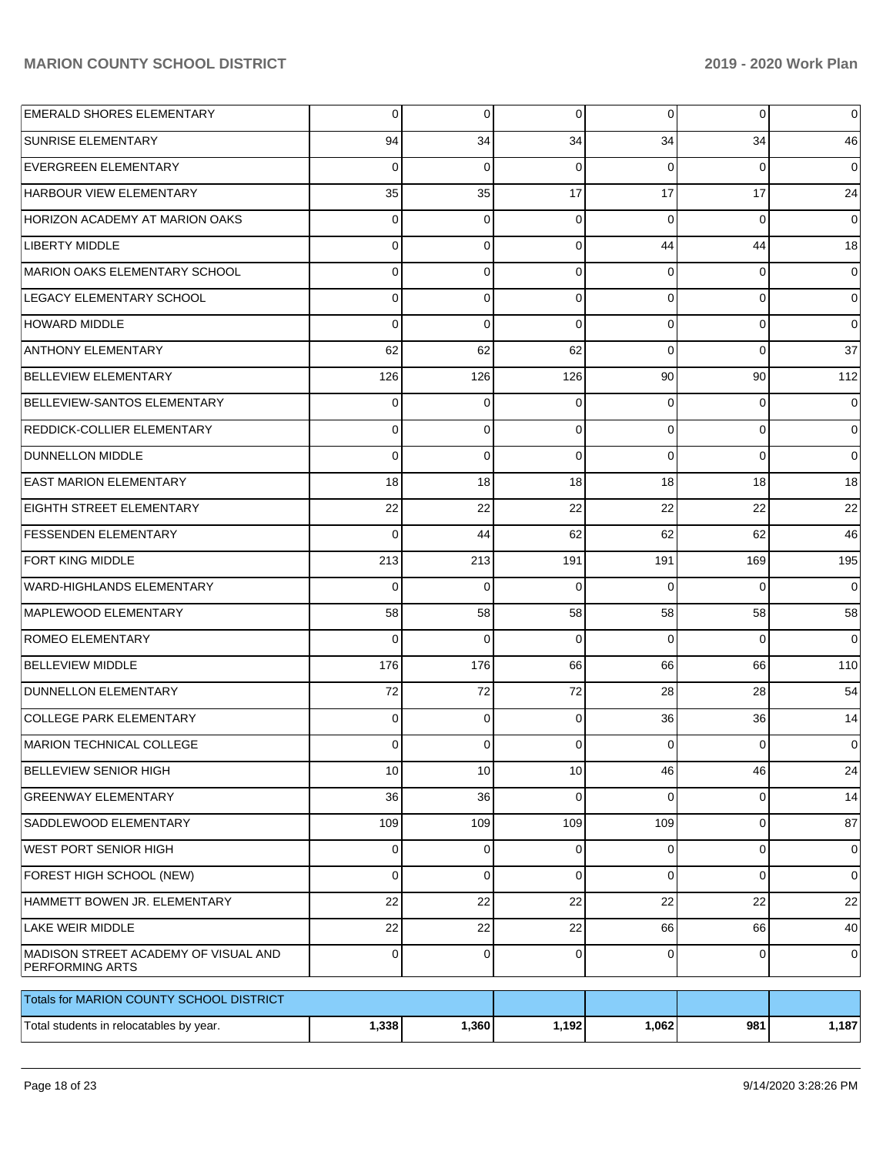| <b>EMERALD SHORES ELEMENTARY</b>                               | 0           | 0           | $\overline{0}$ | $\overline{0}$ | $\overline{0}$ | $\mathbf 0$    |
|----------------------------------------------------------------|-------------|-------------|----------------|----------------|----------------|----------------|
| <b>SUNRISE ELEMENTARY</b>                                      | 94          | 34          | 34             | 34             | 34             | 46             |
| <b>EVERGREEN ELEMENTARY</b>                                    | 0           | 0           | $\Omega$       | $\Omega$       | $\overline{0}$ | $\overline{0}$ |
| <b>HARBOUR VIEW ELEMENTARY</b>                                 | 35          | 35          | 17             | 17             | 17             | 24             |
| <b>HORIZON ACADEMY AT MARION OAKS</b>                          | 0           | 0           | $\Omega$       | $\Omega$       | $\mathbf 0$    | $\overline{0}$ |
| <b>LIBERTY MIDDLE</b>                                          | 0           | 0           | $\Omega$       | 44             | 44             | 18             |
| MARION OAKS ELEMENTARY SCHOOL                                  | 0           | 0           | $\Omega$       | 0              | $\overline{0}$ | $\mathbf 0$    |
| LEGACY ELEMENTARY SCHOOL                                       | 0           | 0           | $\Omega$       | $\Omega$       | $\overline{0}$ | $\overline{0}$ |
| <b>HOWARD MIDDLE</b>                                           | 0           | 0           | $\Omega$       | $\Omega$       | $\overline{0}$ | $\overline{0}$ |
| <b>ANTHONY ELEMENTARY</b>                                      | 62          | 62          | 62             | $\Omega$       | $\overline{0}$ | 37             |
| <b>BELLEVIEW ELEMENTARY</b>                                    | 126         | 126         | 126            | 90             | 90             | 112            |
| BELLEVIEW-SANTOS ELEMENTARY                                    | 0           | 0           | $\Omega$       | 0              | $\overline{0}$ | $\mathbf 0$    |
| <b>REDDICK-COLLIER ELEMENTARY</b>                              | 0           | 0           | $\Omega$       | $\Omega$       | $\overline{0}$ | $\overline{0}$ |
| <b>DUNNELLON MIDDLE</b>                                        | 0           | 0           | $\Omega$       | $\Omega$       | $\overline{0}$ | $\overline{0}$ |
| <b>EAST MARION ELEMENTARY</b>                                  | 18          | 18          | 18             | 18             | 18             | 18             |
| <b>EIGHTH STREET ELEMENTARY</b>                                | 22          | 22          | 22             | 22             | 22             | 22             |
| <b>FESSENDEN ELEMENTARY</b>                                    | 0           | 44          | 62             | 62             | 62             | 46             |
| <b>FORT KING MIDDLE</b>                                        | 213         | 213         | 191            | 191            | 169            | 195            |
| <b>WARD-HIGHLANDS ELEMENTARY</b>                               | 0           | $\Omega$    | $\Omega$       | $\Omega$       | $\Omega$       | $\overline{0}$ |
| MAPLEWOOD ELEMENTARY                                           | 58          | 58          | 58             | 58             | 58             | 58             |
| <b>ROMEO ELEMENTARY</b>                                        | 0           | $\Omega$    | $\Omega$       | $\Omega$       | $\Omega$       | $\overline{0}$ |
| <b>BELLEVIEW MIDDLE</b>                                        | 176         | 176         | 66             | 66             | 66             | 110            |
| <b>DUNNELLON ELEMENTARY</b>                                    | 72          | 72          | 72             | 28             | 28             | 54             |
| <b>COLLEGE PARK ELEMENTARY</b>                                 | 0           | 0           | 0              | 36             | 36             | 14             |
| MARION TECHNICAL COLLEGE                                       | 0           | 0           | $\Omega$       | $\Omega$       | 0              | $\overline{0}$ |
| <b>BELLEVIEW SENIOR HIGH</b>                                   | 10          | 10          | 10             | 46             | 46             | 24             |
| <b>GREENWAY ELEMENTARY</b>                                     | 36          | 36          | $\mathbf 0$    | 0              | $\overline{0}$ | 14             |
| SADDLEWOOD ELEMENTARY                                          | 109         | 109         | 109            | 109            | $\overline{0}$ | 87             |
| <b>WEST PORT SENIOR HIGH</b>                                   | 0           | 0           | $\mathbf 0$    | $\mathbf 0$    | $\mathbf 0$    | $\overline{0}$ |
| FOREST HIGH SCHOOL (NEW)                                       | 0           | 0           | $\mathbf 0$    | $\mathbf 0$    | 0              | $\overline{0}$ |
| HAMMETT BOWEN JR. ELEMENTARY                                   | 22          | 22          | 22             | 22             | 22             | 22             |
| LAKE WEIR MIDDLE                                               | 22          | 22          | 22             | 66             | 66             | 40             |
| MADISON STREET ACADEMY OF VISUAL AND<br><b>PERFORMING ARTS</b> | $\mathbf 0$ | $\mathbf 0$ | $\mathbf 0$    | $\mathbf 0$    | $\mathbf 0$    | $\overline{0}$ |
| Totals for MARION COUNTY SCHOOL DISTRICT                       |             |             |                |                |                |                |
| Total students in relocatables by year.                        | 1,338       | 1,360       | 1,192          | 1,062          | 981            | 1,187          |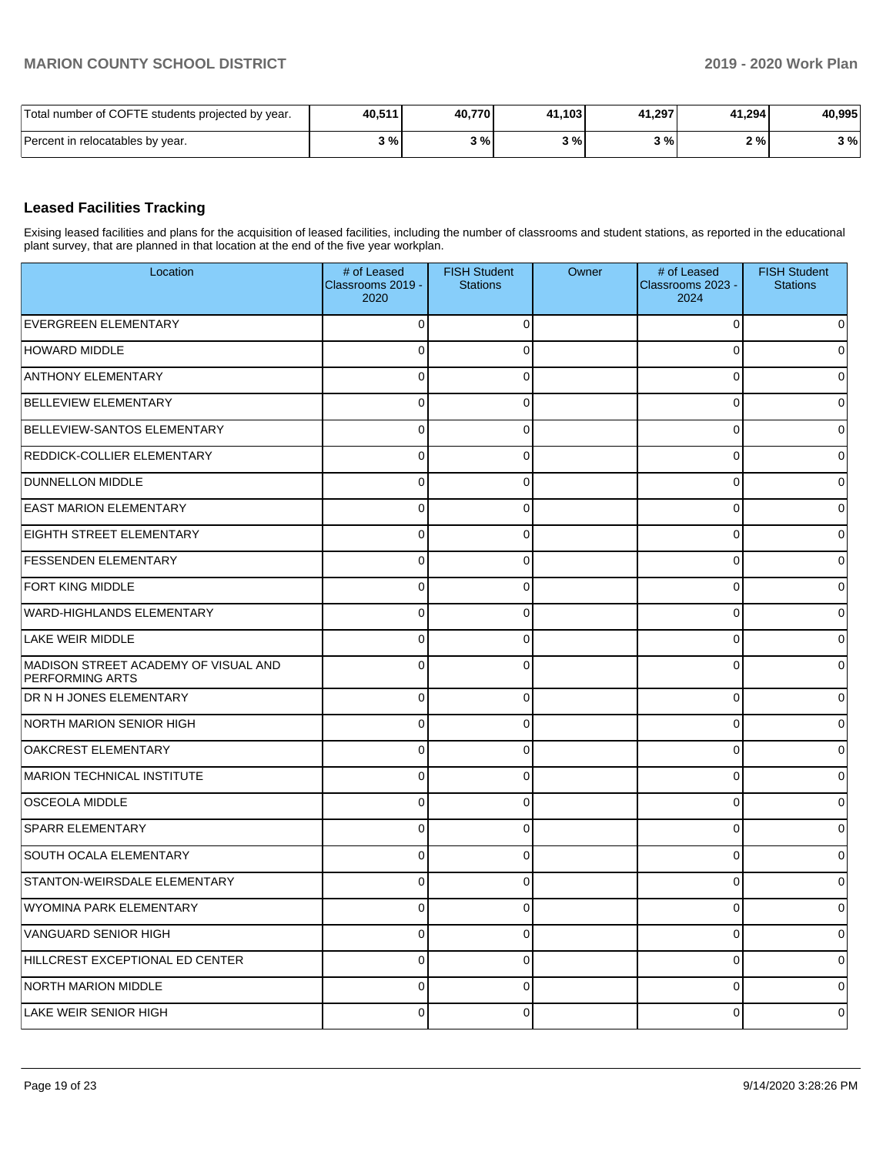| Total number of COFTE students projected by year. | 40,511 | 40,770 | 41,103            | 41,297 | 41,294 | 40,995 |
|---------------------------------------------------|--------|--------|-------------------|--------|--------|--------|
| Percent in relocatables by year.                  | 3%     | 3%     | 20/2<br><b>10</b> | 3%1    | 2%     | 3 %    |

### **Leased Facilities Tracking**

Exising leased facilities and plans for the acquisition of leased facilities, including the number of classrooms and student stations, as reported in the educational plant survey, that are planned in that location at the end of the five year workplan.

| Location                                                       | # of Leased<br>Classrooms 2019 -<br>2020 | <b>FISH Student</b><br><b>Stations</b> | Owner | # of Leased<br>Classrooms 2023 -<br>2024 | <b>FISH Student</b><br><b>Stations</b> |
|----------------------------------------------------------------|------------------------------------------|----------------------------------------|-------|------------------------------------------|----------------------------------------|
| <b>EVERGREEN ELEMENTARY</b>                                    | $\Omega$                                 |                                        |       | 0                                        | 0                                      |
| <b>HOWARD MIDDLE</b>                                           | 0                                        | 0                                      |       | 0                                        | 0                                      |
| <b>ANTHONY ELEMENTARY</b>                                      | $\mathbf 0$                              | U                                      |       | 0                                        | 0                                      |
| <b>BELLEVIEW ELEMENTARY</b>                                    | 0                                        | ∩                                      |       | 0                                        | 0                                      |
| <b>BELLEVIEW-SANTOS ELEMENTARY</b>                             | $\mathbf 0$                              | ∩                                      |       | 0                                        | 0                                      |
| <b>REDDICK-COLLIER ELEMENTARY</b>                              | 0                                        | 0                                      |       | 0                                        | 0                                      |
| <b>DUNNELLON MIDDLE</b>                                        | $\mathbf 0$                              | ∩                                      |       | 0                                        | 0                                      |
| <b>EAST MARION ELEMENTARY</b>                                  | 0                                        | 0                                      |       | 0                                        | 0                                      |
| <b>EIGHTH STREET ELEMENTARY</b>                                | $\mathbf 0$                              | ∩                                      |       | 0                                        | 0                                      |
| <b>FESSENDEN ELEMENTARY</b>                                    | $\mathbf 0$                              | ∩                                      |       | 0                                        | 0                                      |
| <b>FORT KING MIDDLE</b>                                        | $\mathbf 0$                              | U                                      |       | 0                                        | 0                                      |
| WARD-HIGHLANDS ELEMENTARY                                      | $\mathbf 0$                              | ∩                                      |       | 0                                        | 0                                      |
| LAKE WEIR MIDDLE                                               | $\mathbf 0$                              | ∩                                      |       | 0                                        | 0                                      |
| MADISON STREET ACADEMY OF VISUAL AND<br><b>PERFORMING ARTS</b> | $\mathbf 0$                              | ∩                                      |       | 0                                        | 0                                      |
| DR N H JONES ELEMENTARY                                        | 0                                        | 0                                      |       | 0                                        | 0                                      |
| <b>NORTH MARION SENIOR HIGH</b>                                | $\mathbf 0$                              | $\Omega$                               |       | $\Omega$                                 | 0                                      |
| <b>OAKCREST ELEMENTARY</b>                                     | $\mathbf 0$                              | 0                                      |       | 0                                        | 0                                      |
| MARION TECHNICAL INSTITUTE                                     | $\pmb{0}$                                | $\Omega$                               |       | $\Omega$                                 | 0                                      |
| <b>OSCEOLA MIDDLE</b>                                          | $\mathbf 0$                              | 0                                      |       | 0                                        | 0                                      |
| <b>SPARR ELEMENTARY</b>                                        | $\mathbf 0$                              | $\Omega$                               |       | $\Omega$                                 | 0                                      |
| SOUTH OCALA ELEMENTARY                                         | $\mathbf 0$                              | 0                                      |       | 0                                        | 0                                      |
| STANTON-WEIRSDALE ELEMENTARY                                   | $\mathbf 0$                              | $\Omega$                               |       | 0                                        | 0                                      |
| WYOMINA PARK ELEMENTARY                                        | $\mathbf 0$                              | $\Omega$                               |       | 0                                        | 0                                      |
| VANGUARD SENIOR HIGH                                           | $\mathbf 0$                              | 0                                      |       | 0                                        | $\overline{0}$                         |
| HILLCREST EXCEPTIONAL ED CENTER                                | $\mathbf 0$                              | 0                                      |       | 0                                        | $\overline{0}$                         |
| NORTH MARION MIDDLE                                            | $\mathbf 0$                              | 0                                      |       | 0                                        | $\overline{0}$                         |
| LAKE WEIR SENIOR HIGH                                          | $\mathbf 0$                              | 0                                      |       | 0                                        | 0                                      |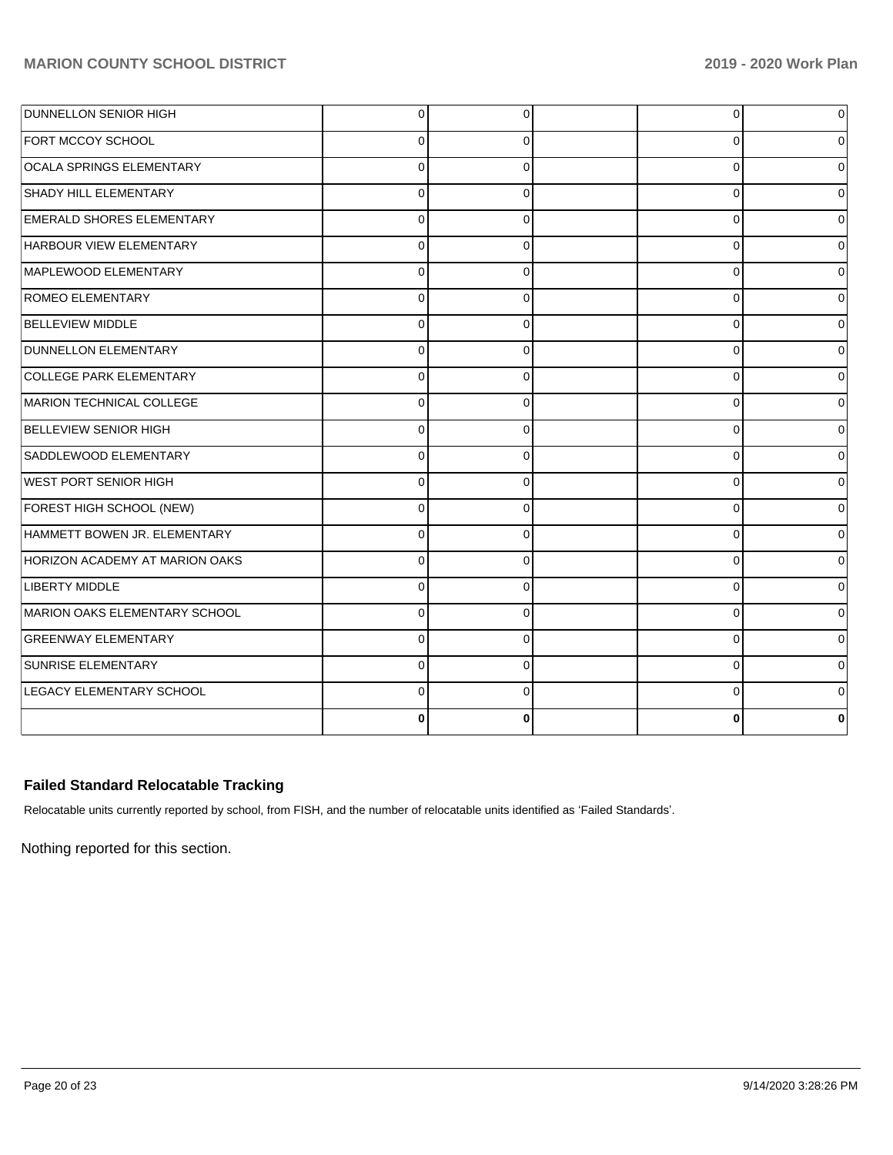| <b>DUNNELLON SENIOR HIGH</b>     | 0        | 0        | 0        | $\overline{0}$ |
|----------------------------------|----------|----------|----------|----------------|
| <b>FORT MCCOY SCHOOL</b>         | O        | 0        | $\Omega$ | $\Omega$       |
| <b>OCALA SPRINGS ELEMENTARY</b>  | $\Omega$ | ∩        | $\Omega$ | 0              |
| SHADY HILL ELEMENTARY            | $\Omega$ | 0        | $\Omega$ | $\Omega$       |
| <b>EMERALD SHORES ELEMENTARY</b> | $\Omega$ | $\Omega$ | $\Omega$ | $\Omega$       |
| HARBOUR VIEW ELEMENTARY          | $\Omega$ | $\Omega$ | $\Omega$ | $\Omega$       |
| MAPLEWOOD ELEMENTARY             | $\Omega$ | $\Omega$ | $\Omega$ | 0              |
| <b>ROMEO ELEMENTARY</b>          | $\Omega$ | $\Omega$ | $\Omega$ | $\Omega$       |
| <b>BELLEVIEW MIDDLE</b>          | $\Omega$ | $\Omega$ | $\Omega$ | $\overline{0}$ |
| DUNNELLON ELEMENTARY             | $\Omega$ | $\Omega$ | $\Omega$ | 0              |
| COLLEGE PARK ELEMENTARY          | 0        | 0        | 0        | $\overline{0}$ |
| MARION TECHNICAL COLLEGE         | 0        | 0        | O        | $\Omega$       |
| <b>BELLEVIEW SENIOR HIGH</b>     | $\Omega$ | $\Omega$ | $\Omega$ | $\Omega$       |
| SADDLEWOOD ELEMENTARY            | $\Omega$ | $\Omega$ | $\Omega$ | $\Omega$       |
| <b>WEST PORT SENIOR HIGH</b>     | $\Omega$ | $\Omega$ | $\Omega$ | $\Omega$       |
| FOREST HIGH SCHOOL (NEW)         | $\Omega$ | 0        | $\Omega$ | 0              |
| HAMMETT BOWEN JR. ELEMENTARY     | 0        | 0        | $\Omega$ | $\Omega$       |
| HORIZON ACADEMY AT MARION OAKS   | $\Omega$ | 0        | $\Omega$ | 0              |
| <b>LIBERTY MIDDLE</b>            |          | ∩        | n        | $\Omega$       |
| MARION OAKS ELEMENTARY SCHOOL    |          | 0        | $\Omega$ | $\overline{0}$ |
| <b>GREENWAY ELEMENTARY</b>       | $\Omega$ | $\Omega$ | $\Omega$ | $\overline{0}$ |
| SUNRISE ELEMENTARY               | $\Omega$ | $\Omega$ | $\Omega$ | $\mathbf 0$    |
| LEGACY ELEMENTARY SCHOOL         | $\Omega$ | $\Omega$ | $\Omega$ | $\overline{0}$ |
|                                  |          | 0        |          | 0              |

# **Failed Standard Relocatable Tracking**

Relocatable units currently reported by school, from FISH, and the number of relocatable units identified as 'Failed Standards'.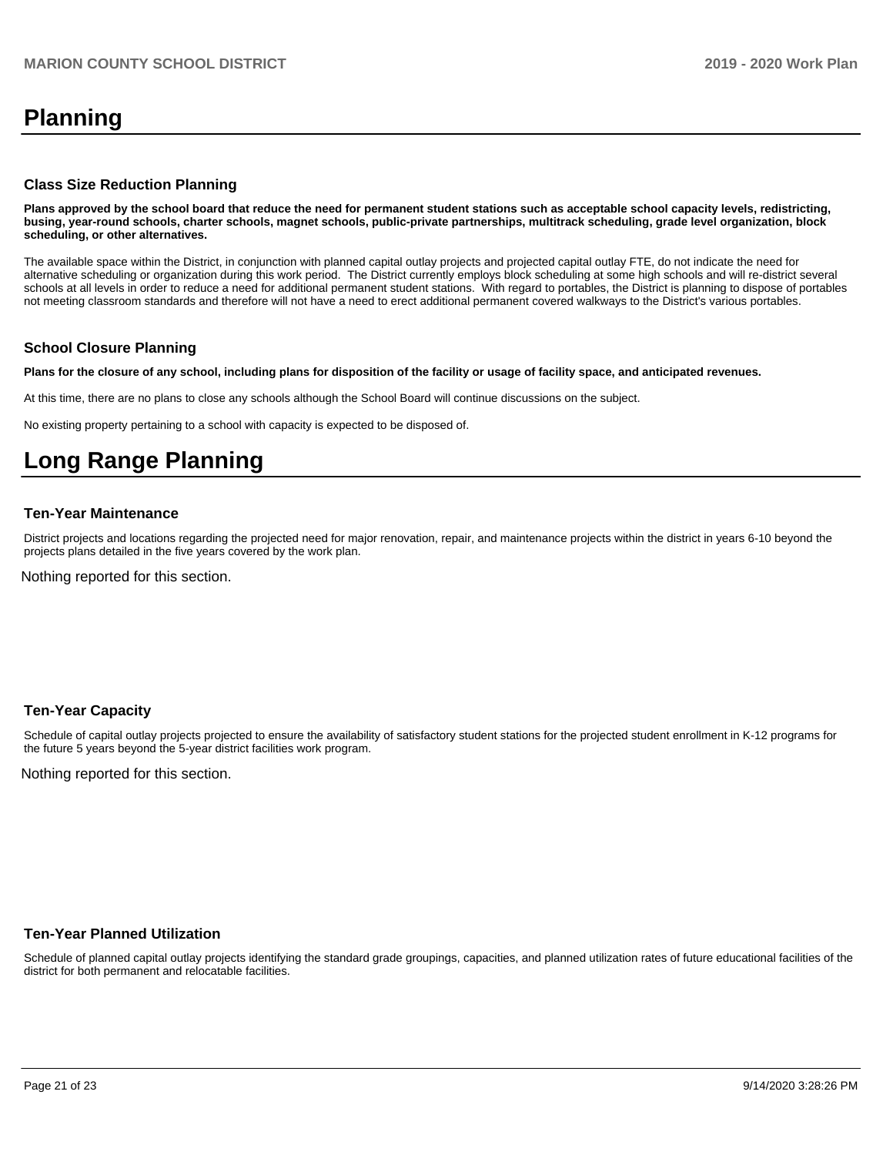# **Planning**

#### **Class Size Reduction Planning**

**Plans approved by the school board that reduce the need for permanent student stations such as acceptable school capacity levels, redistricting, busing, year-round schools, charter schools, magnet schools, public-private partnerships, multitrack scheduling, grade level organization, block scheduling, or other alternatives.**

The available space within the District, in conjunction with planned capital outlay projects and projected capital outlay FTE, do not indicate the need for alternative scheduling or organization during this work period. The District currently employs block scheduling at some high schools and will re-district several schools at all levels in order to reduce a need for additional permanent student stations. With regard to portables, the District is planning to dispose of portables not meeting classroom standards and therefore will not have a need to erect additional permanent covered walkways to the District's various portables.

#### **School Closure Planning**

**Plans for the closure of any school, including plans for disposition of the facility or usage of facility space, and anticipated revenues.** 

At this time, there are no plans to close any schools although the School Board will continue discussions on the subject.

No existing property pertaining to a school with capacity is expected to be disposed of.

# **Long Range Planning**

#### **Ten-Year Maintenance**

District projects and locations regarding the projected need for major renovation, repair, and maintenance projects within the district in years 6-10 beyond the projects plans detailed in the five years covered by the work plan.

Nothing reported for this section.

#### **Ten-Year Capacity**

Schedule of capital outlay projects projected to ensure the availability of satisfactory student stations for the projected student enrollment in K-12 programs for the future 5 years beyond the 5-year district facilities work program.

Nothing reported for this section.

#### **Ten-Year Planned Utilization**

Schedule of planned capital outlay projects identifying the standard grade groupings, capacities, and planned utilization rates of future educational facilities of the district for both permanent and relocatable facilities.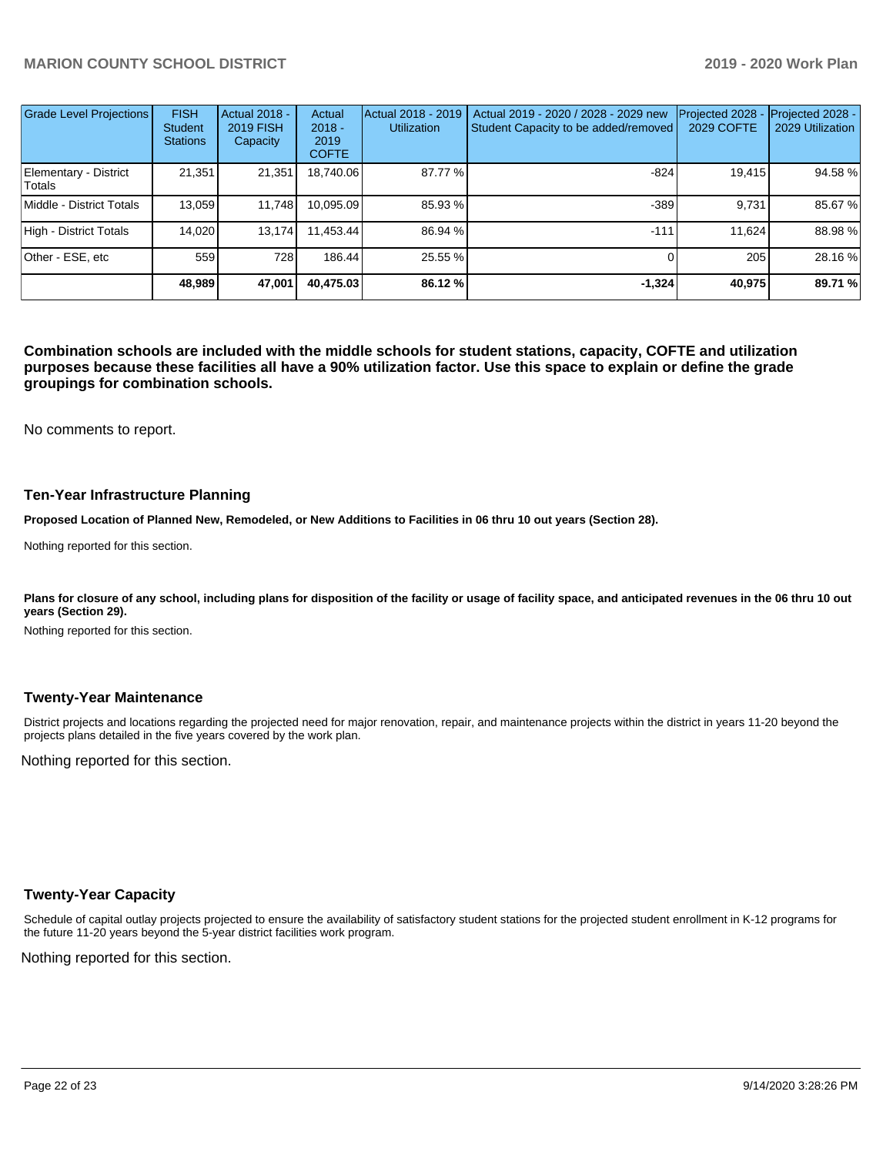| <b>Grade Level Projections</b>  | <b>FISH</b><br><b>Student</b><br><b>Stations</b> | <b>Actual 2018 -</b><br><b>2019 FISH</b><br>Capacity | Actual<br>$2018 -$<br>2019<br><b>COFTE</b> | Actual 2018 - 2019<br><b>Utilization</b> | Actual 2019 - 2020 / 2028 - 2029 new<br>Student Capacity to be added/removed | Projected 2028<br>2029 COFTE | Projected 2028 -<br>2029 Utilization |
|---------------------------------|--------------------------------------------------|------------------------------------------------------|--------------------------------------------|------------------------------------------|------------------------------------------------------------------------------|------------------------------|--------------------------------------|
| Elementary - District<br>Totals | 21,351                                           | 21,351                                               | 18,740.06                                  | 87.77 %                                  | $-824$                                                                       | 19,415                       | 94.58 %                              |
| Middle - District Totals        | 13.059                                           | 11,748                                               | 10,095.09                                  | 85.93 %                                  | $-389$                                                                       | 9.731                        | 85.67 %                              |
| High - District Totals          | 14.020                                           | 13.174                                               | 11.453.44                                  | 86.94 %                                  | $-111$                                                                       | 11.624                       | 88.98 %                              |
| Other - ESE, etc                | 559                                              | 728                                                  | 186.44                                     | 25.55 %                                  |                                                                              | 205                          | 28.16 %                              |
|                                 | 48.989                                           | 47,001                                               | 40.475.03                                  | 86.12 %                                  | $-1.324$                                                                     | 40,975                       | 89.71 %                              |

**Combination schools are included with the middle schools for student stations, capacity, COFTE and utilization purposes because these facilities all have a 90% utilization factor. Use this space to explain or define the grade groupings for combination schools.** 

No comments to report.

#### **Ten-Year Infrastructure Planning**

**Proposed Location of Planned New, Remodeled, or New Additions to Facilities in 06 thru 10 out years (Section 28).**

Nothing reported for this section.

Plans for closure of any school, including plans for disposition of the facility or usage of facility space, and anticipated revenues in the 06 thru 10 out **years (Section 29).**

Nothing reported for this section.

#### **Twenty-Year Maintenance**

District projects and locations regarding the projected need for major renovation, repair, and maintenance projects within the district in years 11-20 beyond the projects plans detailed in the five years covered by the work plan.

Nothing reported for this section.

#### **Twenty-Year Capacity**

Schedule of capital outlay projects projected to ensure the availability of satisfactory student stations for the projected student enrollment in K-12 programs for the future 11-20 years beyond the 5-year district facilities work program.